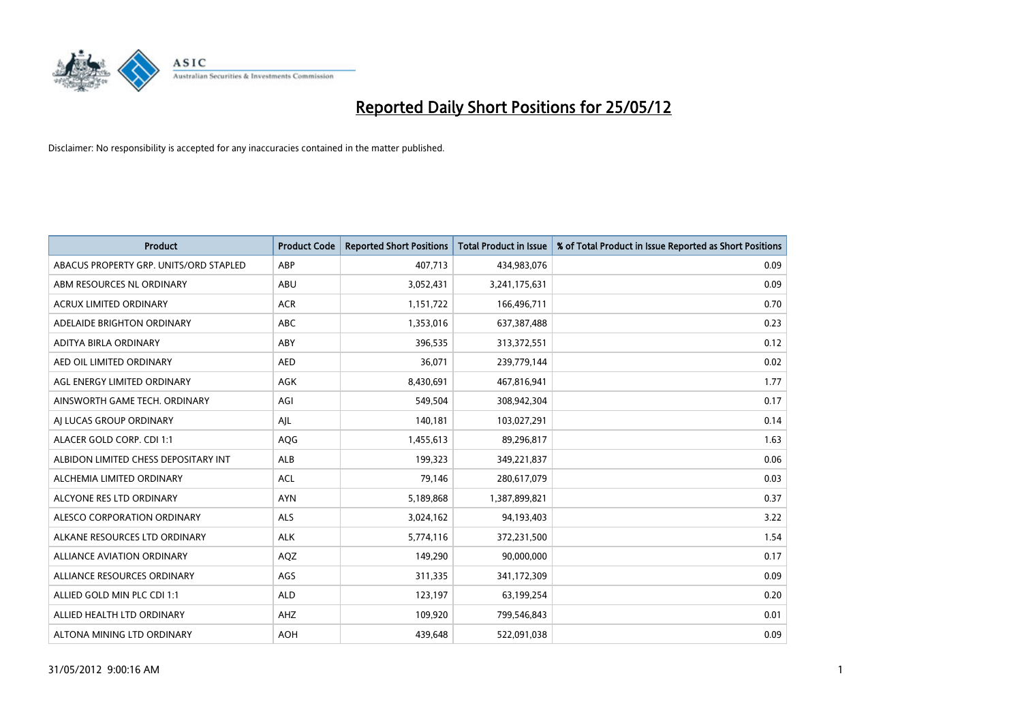

| <b>Product</b>                         | <b>Product Code</b> | <b>Reported Short Positions</b> | <b>Total Product in Issue</b> | % of Total Product in Issue Reported as Short Positions |
|----------------------------------------|---------------------|---------------------------------|-------------------------------|---------------------------------------------------------|
| ABACUS PROPERTY GRP. UNITS/ORD STAPLED | ABP                 | 407,713                         | 434,983,076                   | 0.09                                                    |
| ABM RESOURCES NL ORDINARY              | ABU                 | 3,052,431                       | 3,241,175,631                 | 0.09                                                    |
| <b>ACRUX LIMITED ORDINARY</b>          | <b>ACR</b>          | 1,151,722                       | 166,496,711                   | 0.70                                                    |
| ADELAIDE BRIGHTON ORDINARY             | <b>ABC</b>          | 1,353,016                       | 637,387,488                   | 0.23                                                    |
| ADITYA BIRLA ORDINARY                  | ABY                 | 396,535                         | 313,372,551                   | 0.12                                                    |
| AED OIL LIMITED ORDINARY               | <b>AED</b>          | 36,071                          | 239,779,144                   | 0.02                                                    |
| AGL ENERGY LIMITED ORDINARY            | AGK                 | 8,430,691                       | 467,816,941                   | 1.77                                                    |
| AINSWORTH GAME TECH. ORDINARY          | AGI                 | 549,504                         | 308,942,304                   | 0.17                                                    |
| AI LUCAS GROUP ORDINARY                | AJL                 | 140,181                         | 103,027,291                   | 0.14                                                    |
| ALACER GOLD CORP. CDI 1:1              | <b>AQG</b>          | 1,455,613                       | 89,296,817                    | 1.63                                                    |
| ALBIDON LIMITED CHESS DEPOSITARY INT   | ALB                 | 199,323                         | 349,221,837                   | 0.06                                                    |
| ALCHEMIA LIMITED ORDINARY              | <b>ACL</b>          | 79,146                          | 280,617,079                   | 0.03                                                    |
| ALCYONE RES LTD ORDINARY               | <b>AYN</b>          | 5,189,868                       | 1,387,899,821                 | 0.37                                                    |
| ALESCO CORPORATION ORDINARY            | ALS                 | 3,024,162                       | 94,193,403                    | 3.22                                                    |
| ALKANE RESOURCES LTD ORDINARY          | <b>ALK</b>          | 5,774,116                       | 372,231,500                   | 1.54                                                    |
| ALLIANCE AVIATION ORDINARY             | AQZ                 | 149,290                         | 90,000,000                    | 0.17                                                    |
| ALLIANCE RESOURCES ORDINARY            | AGS                 | 311,335                         | 341,172,309                   | 0.09                                                    |
| ALLIED GOLD MIN PLC CDI 1:1            | <b>ALD</b>          | 123,197                         | 63,199,254                    | 0.20                                                    |
| ALLIED HEALTH LTD ORDINARY             | AHZ                 | 109,920                         | 799,546,843                   | 0.01                                                    |
| ALTONA MINING LTD ORDINARY             | <b>AOH</b>          | 439,648                         | 522,091,038                   | 0.09                                                    |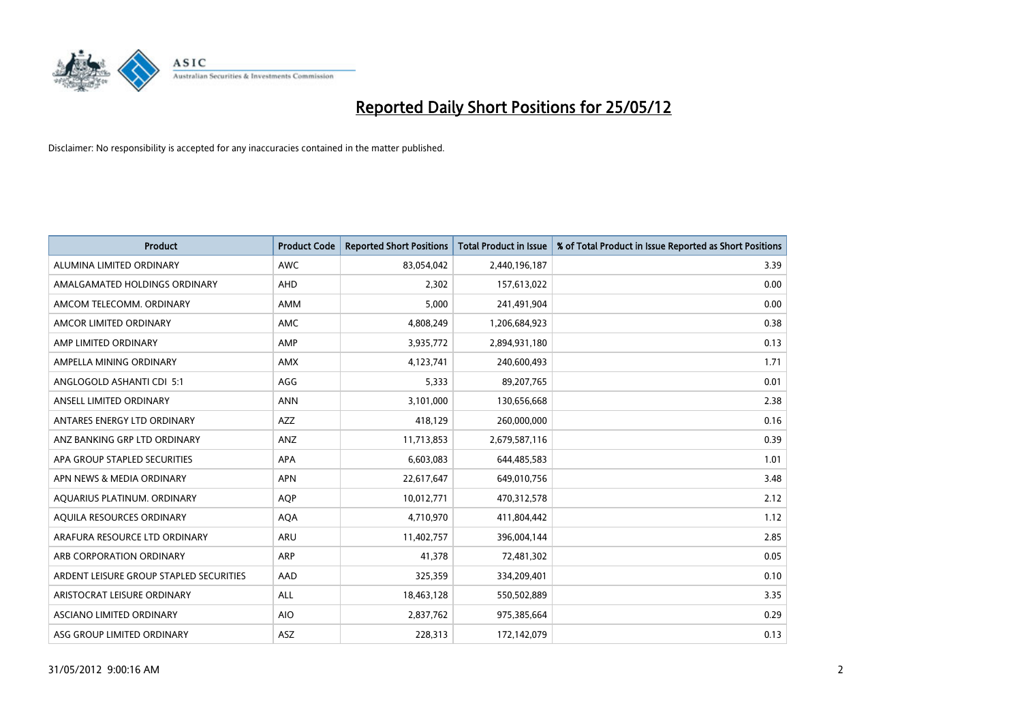

| <b>Product</b>                          | <b>Product Code</b> | <b>Reported Short Positions</b> | <b>Total Product in Issue</b> | % of Total Product in Issue Reported as Short Positions |
|-----------------------------------------|---------------------|---------------------------------|-------------------------------|---------------------------------------------------------|
| ALUMINA LIMITED ORDINARY                | <b>AWC</b>          | 83,054,042                      | 2,440,196,187                 | 3.39                                                    |
| AMALGAMATED HOLDINGS ORDINARY           | AHD                 | 2,302                           | 157,613,022                   | 0.00                                                    |
| AMCOM TELECOMM. ORDINARY                | AMM                 | 5,000                           | 241,491,904                   | 0.00                                                    |
| AMCOR LIMITED ORDINARY                  | AMC                 | 4,808,249                       | 1,206,684,923                 | 0.38                                                    |
| AMP LIMITED ORDINARY                    | AMP                 | 3,935,772                       | 2,894,931,180                 | 0.13                                                    |
| AMPELLA MINING ORDINARY                 | AMX                 | 4,123,741                       | 240,600,493                   | 1.71                                                    |
| ANGLOGOLD ASHANTI CDI 5:1               | AGG                 | 5,333                           | 89,207,765                    | 0.01                                                    |
| ANSELL LIMITED ORDINARY                 | <b>ANN</b>          | 3,101,000                       | 130,656,668                   | 2.38                                                    |
| ANTARES ENERGY LTD ORDINARY             | <b>AZZ</b>          | 418,129                         | 260,000,000                   | 0.16                                                    |
| ANZ BANKING GRP LTD ORDINARY            | ANZ                 | 11,713,853                      | 2,679,587,116                 | 0.39                                                    |
| APA GROUP STAPLED SECURITIES            | APA                 | 6,603,083                       | 644,485,583                   | 1.01                                                    |
| APN NEWS & MEDIA ORDINARY               | <b>APN</b>          | 22,617,647                      | 649,010,756                   | 3.48                                                    |
| AQUARIUS PLATINUM. ORDINARY             | <b>AOP</b>          | 10,012,771                      | 470,312,578                   | 2.12                                                    |
| AOUILA RESOURCES ORDINARY               | <b>AQA</b>          | 4,710,970                       | 411,804,442                   | 1.12                                                    |
| ARAFURA RESOURCE LTD ORDINARY           | ARU                 | 11,402,757                      | 396,004,144                   | 2.85                                                    |
| ARB CORPORATION ORDINARY                | ARP                 | 41,378                          | 72,481,302                    | 0.05                                                    |
| ARDENT LEISURE GROUP STAPLED SECURITIES | AAD                 | 325,359                         | 334,209,401                   | 0.10                                                    |
| ARISTOCRAT LEISURE ORDINARY             | ALL                 | 18,463,128                      | 550,502,889                   | 3.35                                                    |
| ASCIANO LIMITED ORDINARY                | <b>AIO</b>          | 2,837,762                       | 975,385,664                   | 0.29                                                    |
| ASG GROUP LIMITED ORDINARY              | ASZ                 | 228,313                         | 172,142,079                   | 0.13                                                    |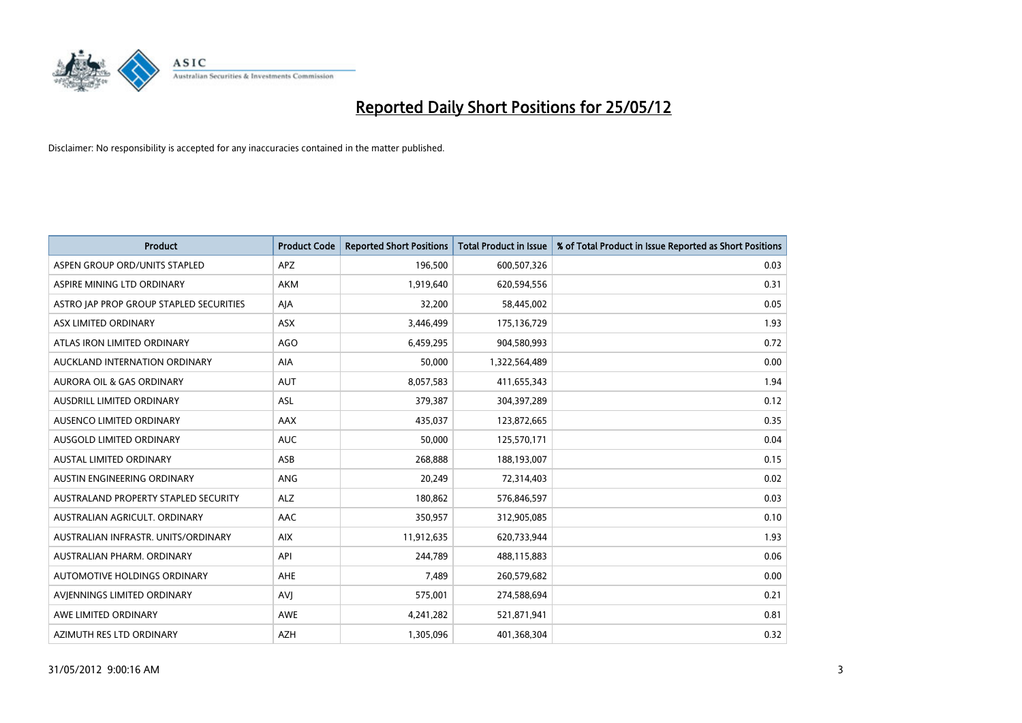

| <b>Product</b>                          | <b>Product Code</b> | <b>Reported Short Positions</b> | <b>Total Product in Issue</b> | % of Total Product in Issue Reported as Short Positions |
|-----------------------------------------|---------------------|---------------------------------|-------------------------------|---------------------------------------------------------|
| ASPEN GROUP ORD/UNITS STAPLED           | <b>APZ</b>          | 196,500                         | 600,507,326                   | 0.03                                                    |
| ASPIRE MINING LTD ORDINARY              | <b>AKM</b>          | 1,919,640                       | 620,594,556                   | 0.31                                                    |
| ASTRO JAP PROP GROUP STAPLED SECURITIES | AJA                 | 32,200                          | 58,445,002                    | 0.05                                                    |
| ASX LIMITED ORDINARY                    | ASX                 | 3,446,499                       | 175,136,729                   | 1.93                                                    |
| ATLAS IRON LIMITED ORDINARY             | <b>AGO</b>          | 6,459,295                       | 904,580,993                   | 0.72                                                    |
| AUCKLAND INTERNATION ORDINARY           | <b>AIA</b>          | 50,000                          | 1,322,564,489                 | 0.00                                                    |
| <b>AURORA OIL &amp; GAS ORDINARY</b>    | <b>AUT</b>          | 8,057,583                       | 411,655,343                   | 1.94                                                    |
| AUSDRILL LIMITED ORDINARY               | ASL                 | 379,387                         | 304,397,289                   | 0.12                                                    |
| AUSENCO LIMITED ORDINARY                | AAX                 | 435,037                         | 123,872,665                   | 0.35                                                    |
| AUSGOLD LIMITED ORDINARY                | <b>AUC</b>          | 50,000                          | 125,570,171                   | 0.04                                                    |
| AUSTAL LIMITED ORDINARY                 | ASB                 | 268,888                         | 188,193,007                   | 0.15                                                    |
| AUSTIN ENGINEERING ORDINARY             | ANG                 | 20,249                          | 72,314,403                    | 0.02                                                    |
| AUSTRALAND PROPERTY STAPLED SECURITY    | <b>ALZ</b>          | 180,862                         | 576,846,597                   | 0.03                                                    |
| AUSTRALIAN AGRICULT, ORDINARY           | AAC                 | 350,957                         | 312,905,085                   | 0.10                                                    |
| AUSTRALIAN INFRASTR, UNITS/ORDINARY     | <b>AIX</b>          | 11,912,635                      | 620,733,944                   | 1.93                                                    |
| AUSTRALIAN PHARM. ORDINARY              | API                 | 244,789                         | 488,115,883                   | 0.06                                                    |
| AUTOMOTIVE HOLDINGS ORDINARY            | AHE                 | 7,489                           | 260,579,682                   | 0.00                                                    |
| AVIENNINGS LIMITED ORDINARY             | <b>AVJ</b>          | 575,001                         | 274,588,694                   | 0.21                                                    |
| AWE LIMITED ORDINARY                    | <b>AWE</b>          | 4,241,282                       | 521,871,941                   | 0.81                                                    |
| AZIMUTH RES LTD ORDINARY                | <b>AZH</b>          | 1,305,096                       | 401,368,304                   | 0.32                                                    |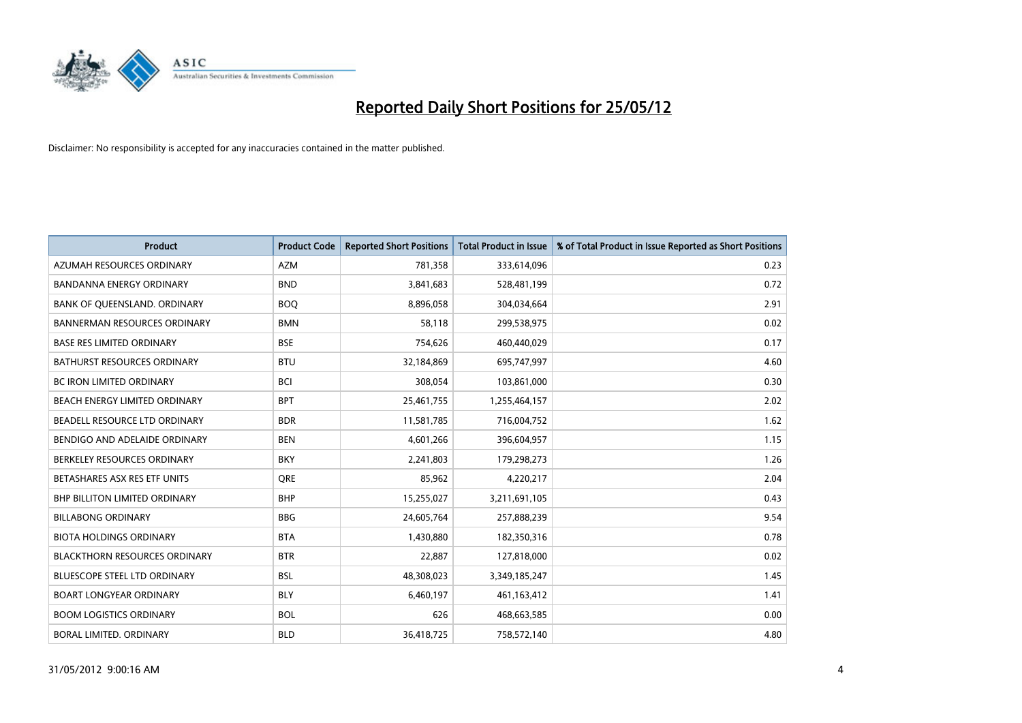

| <b>Product</b>                       | <b>Product Code</b> | <b>Reported Short Positions</b> | <b>Total Product in Issue</b> | % of Total Product in Issue Reported as Short Positions |
|--------------------------------------|---------------------|---------------------------------|-------------------------------|---------------------------------------------------------|
| AZUMAH RESOURCES ORDINARY            | <b>AZM</b>          | 781,358                         | 333,614,096                   | 0.23                                                    |
| BANDANNA ENERGY ORDINARY             | <b>BND</b>          | 3,841,683                       | 528,481,199                   | 0.72                                                    |
| BANK OF QUEENSLAND. ORDINARY         | <b>BOQ</b>          | 8,896,058                       | 304,034,664                   | 2.91                                                    |
| <b>BANNERMAN RESOURCES ORDINARY</b>  | <b>BMN</b>          | 58,118                          | 299,538,975                   | 0.02                                                    |
| <b>BASE RES LIMITED ORDINARY</b>     | <b>BSE</b>          | 754,626                         | 460,440,029                   | 0.17                                                    |
| <b>BATHURST RESOURCES ORDINARY</b>   | <b>BTU</b>          | 32,184,869                      | 695,747,997                   | 4.60                                                    |
| <b>BC IRON LIMITED ORDINARY</b>      | <b>BCI</b>          | 308,054                         | 103,861,000                   | 0.30                                                    |
| BEACH ENERGY LIMITED ORDINARY        | <b>BPT</b>          | 25,461,755                      | 1,255,464,157                 | 2.02                                                    |
| BEADELL RESOURCE LTD ORDINARY        | <b>BDR</b>          | 11,581,785                      | 716,004,752                   | 1.62                                                    |
| BENDIGO AND ADELAIDE ORDINARY        | <b>BEN</b>          | 4,601,266                       | 396,604,957                   | 1.15                                                    |
| BERKELEY RESOURCES ORDINARY          | <b>BKY</b>          | 2,241,803                       | 179,298,273                   | 1.26                                                    |
| BETASHARES ASX RES ETF UNITS         | <b>ORE</b>          | 85,962                          | 4,220,217                     | 2.04                                                    |
| <b>BHP BILLITON LIMITED ORDINARY</b> | <b>BHP</b>          | 15,255,027                      | 3,211,691,105                 | 0.43                                                    |
| <b>BILLABONG ORDINARY</b>            | <b>BBG</b>          | 24,605,764                      | 257,888,239                   | 9.54                                                    |
| <b>BIOTA HOLDINGS ORDINARY</b>       | <b>BTA</b>          | 1,430,880                       | 182,350,316                   | 0.78                                                    |
| <b>BLACKTHORN RESOURCES ORDINARY</b> | <b>BTR</b>          | 22,887                          | 127,818,000                   | 0.02                                                    |
| BLUESCOPE STEEL LTD ORDINARY         | <b>BSL</b>          | 48,308,023                      | 3,349,185,247                 | 1.45                                                    |
| <b>BOART LONGYEAR ORDINARY</b>       | <b>BLY</b>          | 6,460,197                       | 461,163,412                   | 1.41                                                    |
| <b>BOOM LOGISTICS ORDINARY</b>       | <b>BOL</b>          | 626                             | 468,663,585                   | 0.00                                                    |
| BORAL LIMITED. ORDINARY              | <b>BLD</b>          | 36,418,725                      | 758,572,140                   | 4.80                                                    |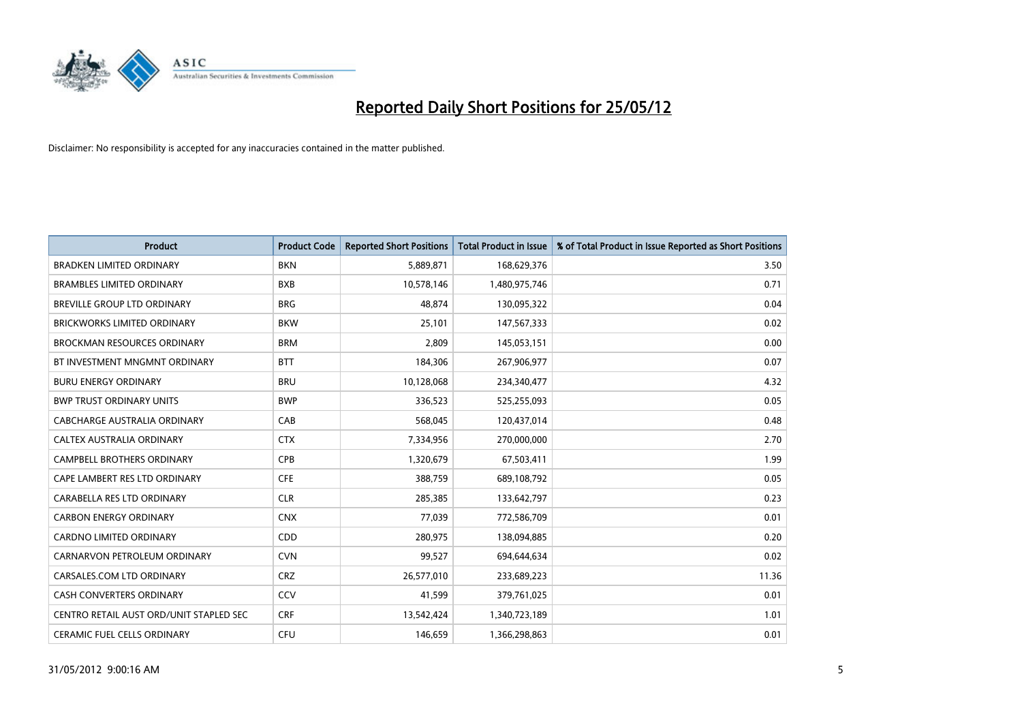

| <b>Product</b>                          | <b>Product Code</b> | <b>Reported Short Positions</b> | <b>Total Product in Issue</b> | % of Total Product in Issue Reported as Short Positions |
|-----------------------------------------|---------------------|---------------------------------|-------------------------------|---------------------------------------------------------|
| <b>BRADKEN LIMITED ORDINARY</b>         | <b>BKN</b>          | 5,889,871                       | 168,629,376                   | 3.50                                                    |
| <b>BRAMBLES LIMITED ORDINARY</b>        | <b>BXB</b>          | 10,578,146                      | 1,480,975,746                 | 0.71                                                    |
| BREVILLE GROUP LTD ORDINARY             | <b>BRG</b>          | 48,874                          | 130,095,322                   | 0.04                                                    |
| <b>BRICKWORKS LIMITED ORDINARY</b>      | <b>BKW</b>          | 25,101                          | 147,567,333                   | 0.02                                                    |
| <b>BROCKMAN RESOURCES ORDINARY</b>      | <b>BRM</b>          | 2,809                           | 145,053,151                   | 0.00                                                    |
| BT INVESTMENT MNGMNT ORDINARY           | <b>BTT</b>          | 184,306                         | 267,906,977                   | 0.07                                                    |
| <b>BURU ENERGY ORDINARY</b>             | <b>BRU</b>          | 10,128,068                      | 234,340,477                   | 4.32                                                    |
| <b>BWP TRUST ORDINARY UNITS</b>         | <b>BWP</b>          | 336,523                         | 525,255,093                   | 0.05                                                    |
| CABCHARGE AUSTRALIA ORDINARY            | CAB                 | 568,045                         | 120,437,014                   | 0.48                                                    |
| CALTEX AUSTRALIA ORDINARY               | <b>CTX</b>          | 7,334,956                       | 270,000,000                   | 2.70                                                    |
| CAMPBELL BROTHERS ORDINARY              | <b>CPB</b>          | 1,320,679                       | 67,503,411                    | 1.99                                                    |
| CAPE LAMBERT RES LTD ORDINARY           | <b>CFE</b>          | 388,759                         | 689,108,792                   | 0.05                                                    |
| CARABELLA RES LTD ORDINARY              | <b>CLR</b>          | 285,385                         | 133,642,797                   | 0.23                                                    |
| <b>CARBON ENERGY ORDINARY</b>           | <b>CNX</b>          | 77,039                          | 772,586,709                   | 0.01                                                    |
| <b>CARDNO LIMITED ORDINARY</b>          | CDD                 | 280,975                         | 138,094,885                   | 0.20                                                    |
| CARNARVON PETROLEUM ORDINARY            | <b>CVN</b>          | 99,527                          | 694,644,634                   | 0.02                                                    |
| CARSALES.COM LTD ORDINARY               | <b>CRZ</b>          | 26,577,010                      | 233,689,223                   | 11.36                                                   |
| CASH CONVERTERS ORDINARY                | CCV                 | 41,599                          | 379,761,025                   | 0.01                                                    |
| CENTRO RETAIL AUST ORD/UNIT STAPLED SEC | <b>CRF</b>          | 13,542,424                      | 1,340,723,189                 | 1.01                                                    |
| <b>CERAMIC FUEL CELLS ORDINARY</b>      | <b>CFU</b>          | 146,659                         | 1,366,298,863                 | 0.01                                                    |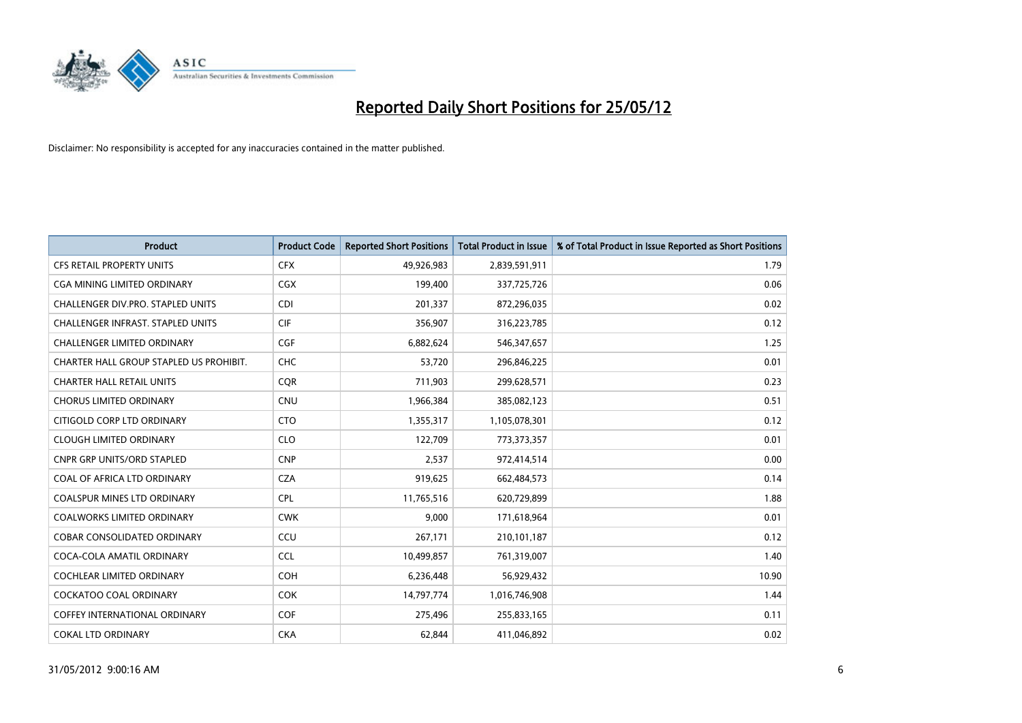

| <b>Product</b>                           | <b>Product Code</b> | <b>Reported Short Positions</b> | <b>Total Product in Issue</b> | % of Total Product in Issue Reported as Short Positions |
|------------------------------------------|---------------------|---------------------------------|-------------------------------|---------------------------------------------------------|
| <b>CFS RETAIL PROPERTY UNITS</b>         | <b>CFX</b>          | 49,926,983                      | 2,839,591,911                 | 1.79                                                    |
| CGA MINING LIMITED ORDINARY              | <b>CGX</b>          | 199,400                         | 337,725,726                   | 0.06                                                    |
| CHALLENGER DIV.PRO. STAPLED UNITS        | <b>CDI</b>          | 201,337                         | 872,296,035                   | 0.02                                                    |
| <b>CHALLENGER INFRAST, STAPLED UNITS</b> | <b>CIF</b>          | 356,907                         | 316,223,785                   | 0.12                                                    |
| <b>CHALLENGER LIMITED ORDINARY</b>       | <b>CGF</b>          | 6,882,624                       | 546,347,657                   | 1.25                                                    |
| CHARTER HALL GROUP STAPLED US PROHIBIT.  | <b>CHC</b>          | 53,720                          | 296,846,225                   | 0.01                                                    |
| <b>CHARTER HALL RETAIL UNITS</b>         | <b>COR</b>          | 711,903                         | 299,628,571                   | 0.23                                                    |
| <b>CHORUS LIMITED ORDINARY</b>           | <b>CNU</b>          | 1,966,384                       | 385,082,123                   | 0.51                                                    |
| CITIGOLD CORP LTD ORDINARY               | <b>CTO</b>          | 1,355,317                       | 1,105,078,301                 | 0.12                                                    |
| <b>CLOUGH LIMITED ORDINARY</b>           | <b>CLO</b>          | 122,709                         | 773,373,357                   | 0.01                                                    |
| CNPR GRP UNITS/ORD STAPLED               | <b>CNP</b>          | 2,537                           | 972,414,514                   | 0.00                                                    |
| COAL OF AFRICA LTD ORDINARY              | <b>CZA</b>          | 919,625                         | 662,484,573                   | 0.14                                                    |
| <b>COALSPUR MINES LTD ORDINARY</b>       | <b>CPL</b>          | 11,765,516                      | 620,729,899                   | 1.88                                                    |
| <b>COALWORKS LIMITED ORDINARY</b>        | <b>CWK</b>          | 9,000                           | 171,618,964                   | 0.01                                                    |
| <b>COBAR CONSOLIDATED ORDINARY</b>       | CCU                 | 267,171                         | 210,101,187                   | 0.12                                                    |
| COCA-COLA AMATIL ORDINARY                | <b>CCL</b>          | 10,499,857                      | 761,319,007                   | 1.40                                                    |
| COCHLEAR LIMITED ORDINARY                | <b>COH</b>          | 6,236,448                       | 56,929,432                    | 10.90                                                   |
| <b>COCKATOO COAL ORDINARY</b>            | <b>COK</b>          | 14,797,774                      | 1,016,746,908                 | 1.44                                                    |
| <b>COFFEY INTERNATIONAL ORDINARY</b>     | <b>COF</b>          | 275,496                         | 255,833,165                   | 0.11                                                    |
| <b>COKAL LTD ORDINARY</b>                | <b>CKA</b>          | 62,844                          | 411,046,892                   | 0.02                                                    |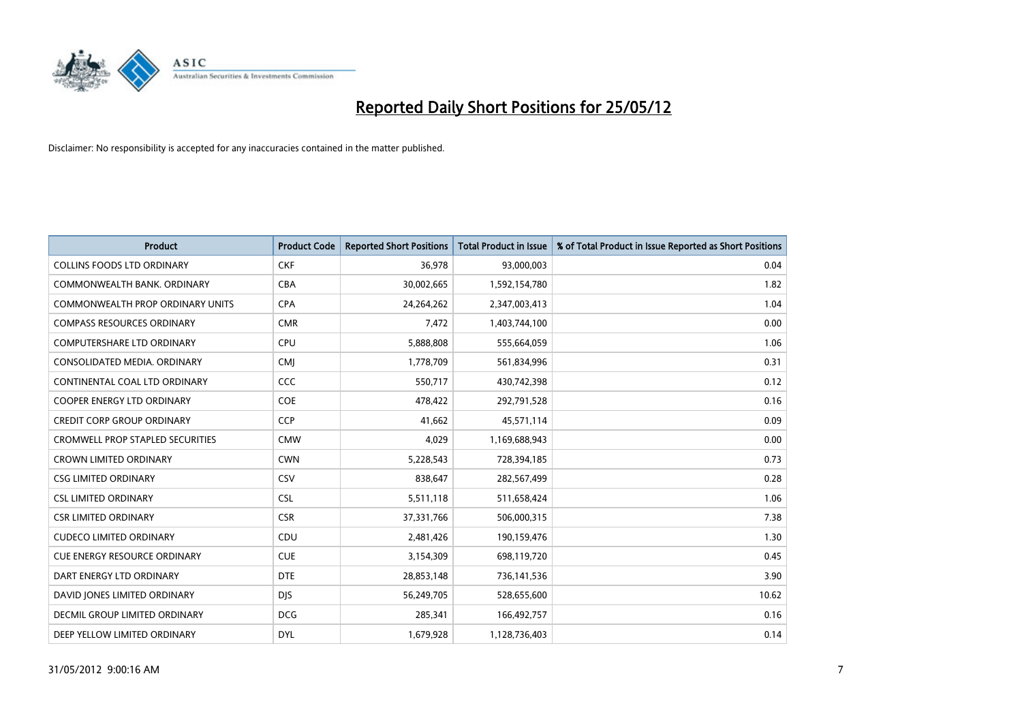

| <b>Product</b>                          | <b>Product Code</b> | <b>Reported Short Positions</b> | <b>Total Product in Issue</b> | % of Total Product in Issue Reported as Short Positions |
|-----------------------------------------|---------------------|---------------------------------|-------------------------------|---------------------------------------------------------|
| <b>COLLINS FOODS LTD ORDINARY</b>       | <b>CKF</b>          | 36,978                          | 93,000,003                    | 0.04                                                    |
| COMMONWEALTH BANK, ORDINARY             | <b>CBA</b>          | 30,002,665                      | 1,592,154,780                 | 1.82                                                    |
| <b>COMMONWEALTH PROP ORDINARY UNITS</b> | <b>CPA</b>          | 24,264,262                      | 2,347,003,413                 | 1.04                                                    |
| <b>COMPASS RESOURCES ORDINARY</b>       | <b>CMR</b>          | 7,472                           | 1,403,744,100                 | 0.00                                                    |
| <b>COMPUTERSHARE LTD ORDINARY</b>       | <b>CPU</b>          | 5,888,808                       | 555,664,059                   | 1.06                                                    |
| CONSOLIDATED MEDIA, ORDINARY            | <b>CMI</b>          | 1,778,709                       | 561,834,996                   | 0.31                                                    |
| CONTINENTAL COAL LTD ORDINARY           | CCC                 | 550,717                         | 430,742,398                   | 0.12                                                    |
| COOPER ENERGY LTD ORDINARY              | <b>COE</b>          | 478,422                         | 292,791,528                   | 0.16                                                    |
| <b>CREDIT CORP GROUP ORDINARY</b>       | CCP                 | 41,662                          | 45,571,114                    | 0.09                                                    |
| <b>CROMWELL PROP STAPLED SECURITIES</b> | <b>CMW</b>          | 4,029                           | 1,169,688,943                 | 0.00                                                    |
| <b>CROWN LIMITED ORDINARY</b>           | <b>CWN</b>          | 5,228,543                       | 728,394,185                   | 0.73                                                    |
| <b>CSG LIMITED ORDINARY</b>             | CSV                 | 838,647                         | 282,567,499                   | 0.28                                                    |
| <b>CSL LIMITED ORDINARY</b>             | <b>CSL</b>          | 5,511,118                       | 511,658,424                   | 1.06                                                    |
| <b>CSR LIMITED ORDINARY</b>             | <b>CSR</b>          | 37,331,766                      | 506,000,315                   | 7.38                                                    |
| <b>CUDECO LIMITED ORDINARY</b>          | CDU                 | 2,481,426                       | 190,159,476                   | 1.30                                                    |
| CUE ENERGY RESOURCE ORDINARY            | <b>CUE</b>          | 3,154,309                       | 698,119,720                   | 0.45                                                    |
| DART ENERGY LTD ORDINARY                | <b>DTE</b>          | 28,853,148                      | 736, 141, 536                 | 3.90                                                    |
| DAVID JONES LIMITED ORDINARY            | <b>DJS</b>          | 56,249,705                      | 528,655,600                   | 10.62                                                   |
| DECMIL GROUP LIMITED ORDINARY           | <b>DCG</b>          | 285,341                         | 166,492,757                   | 0.16                                                    |
| DEEP YELLOW LIMITED ORDINARY            | <b>DYL</b>          | 1,679,928                       | 1,128,736,403                 | 0.14                                                    |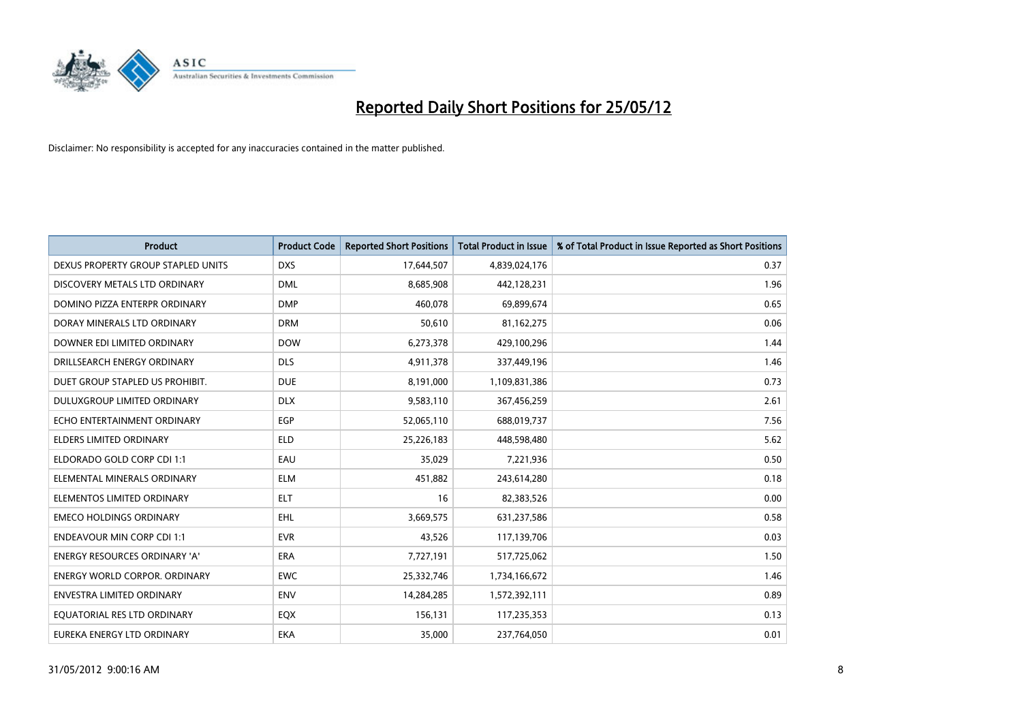

| <b>Product</b>                     | <b>Product Code</b> | <b>Reported Short Positions</b> | <b>Total Product in Issue</b> | % of Total Product in Issue Reported as Short Positions |
|------------------------------------|---------------------|---------------------------------|-------------------------------|---------------------------------------------------------|
| DEXUS PROPERTY GROUP STAPLED UNITS | <b>DXS</b>          | 17,644,507                      | 4,839,024,176                 | 0.37                                                    |
| DISCOVERY METALS LTD ORDINARY      | <b>DML</b>          | 8,685,908                       | 442,128,231                   | 1.96                                                    |
| DOMINO PIZZA ENTERPR ORDINARY      | <b>DMP</b>          | 460,078                         | 69,899,674                    | 0.65                                                    |
| DORAY MINERALS LTD ORDINARY        | <b>DRM</b>          | 50,610                          | 81,162,275                    | 0.06                                                    |
| DOWNER EDI LIMITED ORDINARY        | <b>DOW</b>          | 6,273,378                       | 429,100,296                   | 1.44                                                    |
| DRILLSEARCH ENERGY ORDINARY        | <b>DLS</b>          | 4,911,378                       | 337,449,196                   | 1.46                                                    |
| DUET GROUP STAPLED US PROHIBIT.    | <b>DUE</b>          | 8,191,000                       | 1,109,831,386                 | 0.73                                                    |
| DULUXGROUP LIMITED ORDINARY        | <b>DLX</b>          | 9,583,110                       | 367,456,259                   | 2.61                                                    |
| ECHO ENTERTAINMENT ORDINARY        | <b>EGP</b>          | 52,065,110                      | 688,019,737                   | 7.56                                                    |
| <b>ELDERS LIMITED ORDINARY</b>     | <b>ELD</b>          | 25,226,183                      | 448,598,480                   | 5.62                                                    |
| ELDORADO GOLD CORP CDI 1:1         | EAU                 | 35,029                          | 7,221,936                     | 0.50                                                    |
| ELEMENTAL MINERALS ORDINARY        | <b>ELM</b>          | 451,882                         | 243,614,280                   | 0.18                                                    |
| ELEMENTOS LIMITED ORDINARY         | <b>ELT</b>          | 16                              | 82,383,526                    | 0.00                                                    |
| <b>EMECO HOLDINGS ORDINARY</b>     | <b>EHL</b>          | 3,669,575                       | 631,237,586                   | 0.58                                                    |
| <b>ENDEAVOUR MIN CORP CDI 1:1</b>  | <b>EVR</b>          | 43,526                          | 117,139,706                   | 0.03                                                    |
| ENERGY RESOURCES ORDINARY 'A'      | ERA                 | 7,727,191                       | 517,725,062                   | 1.50                                                    |
| ENERGY WORLD CORPOR. ORDINARY      | <b>EWC</b>          | 25,332,746                      | 1,734,166,672                 | 1.46                                                    |
| <b>ENVESTRA LIMITED ORDINARY</b>   | <b>ENV</b>          | 14,284,285                      | 1,572,392,111                 | 0.89                                                    |
| EQUATORIAL RES LTD ORDINARY        | EQX                 | 156,131                         | 117,235,353                   | 0.13                                                    |
| EUREKA ENERGY LTD ORDINARY         | <b>EKA</b>          | 35,000                          | 237,764,050                   | 0.01                                                    |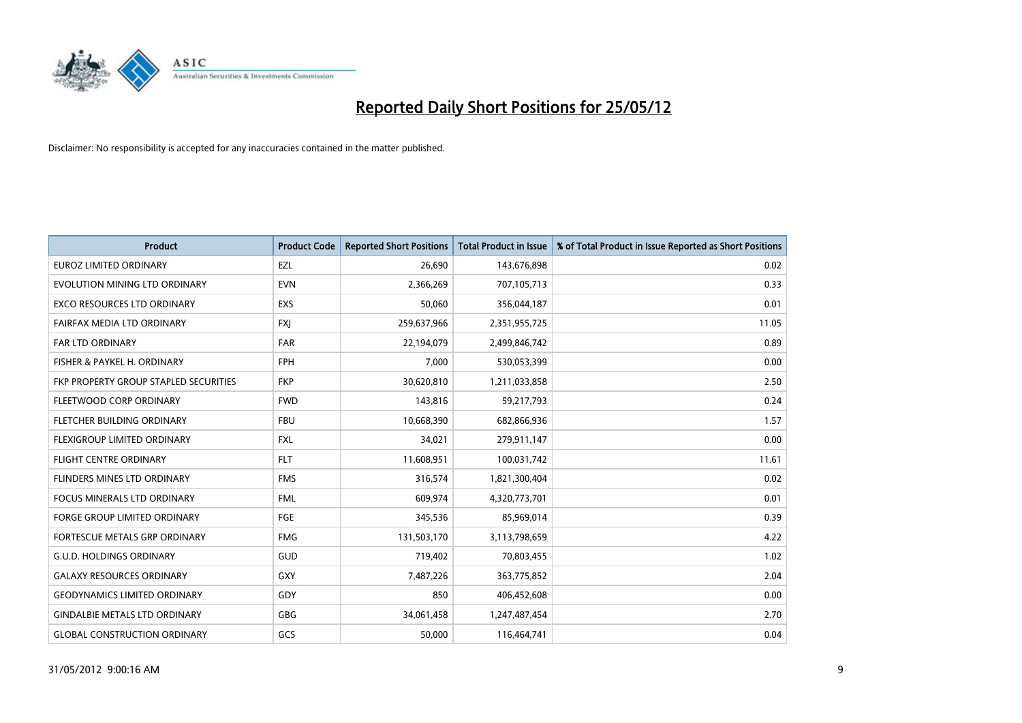

| <b>Product</b>                        | <b>Product Code</b> | <b>Reported Short Positions</b> | <b>Total Product in Issue</b> | % of Total Product in Issue Reported as Short Positions |
|---------------------------------------|---------------------|---------------------------------|-------------------------------|---------------------------------------------------------|
| <b>EUROZ LIMITED ORDINARY</b>         | EZL                 | 26,690                          | 143,676,898                   | 0.02                                                    |
| EVOLUTION MINING LTD ORDINARY         | <b>EVN</b>          | 2,366,269                       | 707,105,713                   | 0.33                                                    |
| EXCO RESOURCES LTD ORDINARY           | <b>EXS</b>          | 50,060                          | 356,044,187                   | 0.01                                                    |
| FAIRFAX MEDIA LTD ORDINARY            | <b>FXI</b>          | 259,637,966                     | 2,351,955,725                 | 11.05                                                   |
| <b>FAR LTD ORDINARY</b>               | <b>FAR</b>          | 22,194,079                      | 2,499,846,742                 | 0.89                                                    |
| FISHER & PAYKEL H. ORDINARY           | <b>FPH</b>          | 7,000                           | 530,053,399                   | 0.00                                                    |
| FKP PROPERTY GROUP STAPLED SECURITIES | <b>FKP</b>          | 30,620,810                      | 1,211,033,858                 | 2.50                                                    |
| FLEETWOOD CORP ORDINARY               | <b>FWD</b>          | 143,816                         | 59,217,793                    | 0.24                                                    |
| FLETCHER BUILDING ORDINARY            | <b>FBU</b>          | 10,668,390                      | 682,866,936                   | 1.57                                                    |
| FLEXIGROUP LIMITED ORDINARY           | <b>FXL</b>          | 34,021                          | 279,911,147                   | 0.00                                                    |
| <b>FLIGHT CENTRE ORDINARY</b>         | <b>FLT</b>          | 11,608,951                      | 100,031,742                   | 11.61                                                   |
| FLINDERS MINES LTD ORDINARY           | <b>FMS</b>          | 316,574                         | 1,821,300,404                 | 0.02                                                    |
| FOCUS MINERALS LTD ORDINARY           | <b>FML</b>          | 609,974                         | 4,320,773,701                 | 0.01                                                    |
| <b>FORGE GROUP LIMITED ORDINARY</b>   | FGE                 | 345,536                         | 85,969,014                    | 0.39                                                    |
| FORTESCUE METALS GRP ORDINARY         | <b>FMG</b>          | 131,503,170                     | 3,113,798,659                 | 4.22                                                    |
| <b>G.U.D. HOLDINGS ORDINARY</b>       | GUD                 | 719,402                         | 70,803,455                    | 1.02                                                    |
| <b>GALAXY RESOURCES ORDINARY</b>      | GXY                 | 7,487,226                       | 363,775,852                   | 2.04                                                    |
| <b>GEODYNAMICS LIMITED ORDINARY</b>   | GDY                 | 850                             | 406,452,608                   | 0.00                                                    |
| <b>GINDALBIE METALS LTD ORDINARY</b>  | <b>GBG</b>          | 34,061,458                      | 1,247,487,454                 | 2.70                                                    |
| <b>GLOBAL CONSTRUCTION ORDINARY</b>   | GCS                 | 50,000                          | 116,464,741                   | 0.04                                                    |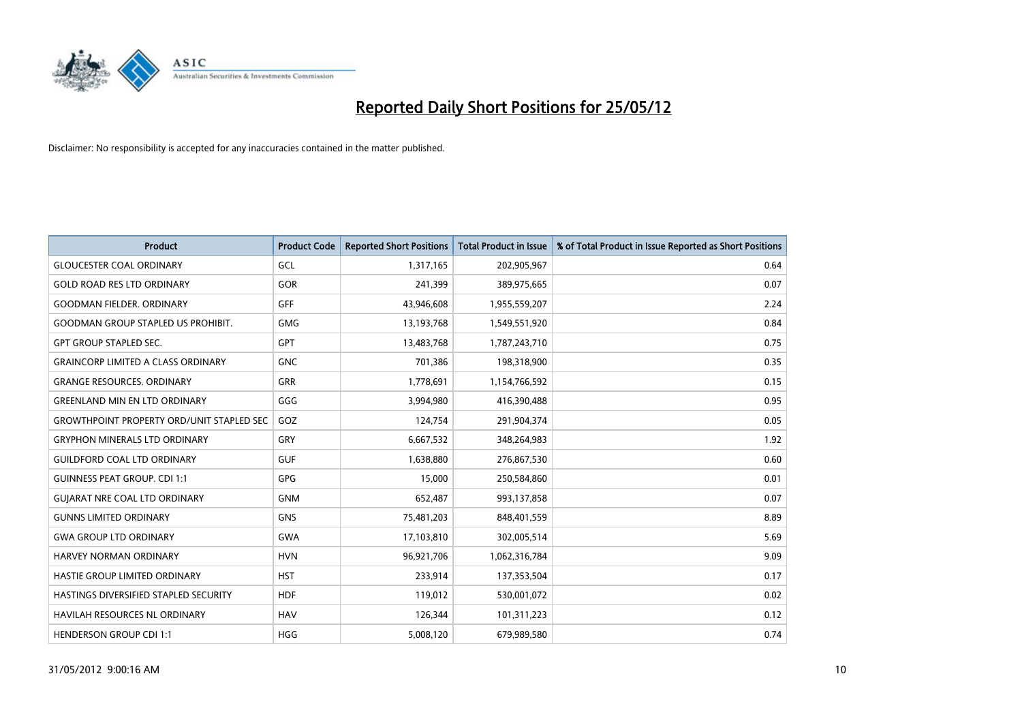

| <b>Product</b>                                   | <b>Product Code</b> | <b>Reported Short Positions</b> | <b>Total Product in Issue</b> | % of Total Product in Issue Reported as Short Positions |
|--------------------------------------------------|---------------------|---------------------------------|-------------------------------|---------------------------------------------------------|
| <b>GLOUCESTER COAL ORDINARY</b>                  | GCL                 | 1,317,165                       | 202,905,967                   | 0.64                                                    |
| <b>GOLD ROAD RES LTD ORDINARY</b>                | GOR                 | 241,399                         | 389,975,665                   | 0.07                                                    |
| <b>GOODMAN FIELDER. ORDINARY</b>                 | GFF                 | 43,946,608                      | 1,955,559,207                 | 2.24                                                    |
| <b>GOODMAN GROUP STAPLED US PROHIBIT.</b>        | <b>GMG</b>          | 13,193,768                      | 1,549,551,920                 | 0.84                                                    |
| <b>GPT GROUP STAPLED SEC.</b>                    | <b>GPT</b>          | 13,483,768                      | 1,787,243,710                 | 0.75                                                    |
| <b>GRAINCORP LIMITED A CLASS ORDINARY</b>        | <b>GNC</b>          | 701,386                         | 198,318,900                   | 0.35                                                    |
| <b>GRANGE RESOURCES. ORDINARY</b>                | GRR                 | 1,778,691                       | 1,154,766,592                 | 0.15                                                    |
| <b>GREENLAND MIN EN LTD ORDINARY</b>             | GGG                 | 3,994,980                       | 416,390,488                   | 0.95                                                    |
| <b>GROWTHPOINT PROPERTY ORD/UNIT STAPLED SEC</b> | GOZ                 | 124,754                         | 291,904,374                   | 0.05                                                    |
| <b>GRYPHON MINERALS LTD ORDINARY</b>             | GRY                 | 6,667,532                       | 348,264,983                   | 1.92                                                    |
| <b>GUILDFORD COAL LTD ORDINARY</b>               | <b>GUF</b>          | 1,638,880                       | 276,867,530                   | 0.60                                                    |
| <b>GUINNESS PEAT GROUP. CDI 1:1</b>              | GPG                 | 15,000                          | 250,584,860                   | 0.01                                                    |
| <b>GUIARAT NRE COAL LTD ORDINARY</b>             | <b>GNM</b>          | 652,487                         | 993,137,858                   | 0.07                                                    |
| <b>GUNNS LIMITED ORDINARY</b>                    | <b>GNS</b>          | 75,481,203                      | 848,401,559                   | 8.89                                                    |
| <b>GWA GROUP LTD ORDINARY</b>                    | <b>GWA</b>          | 17,103,810                      | 302,005,514                   | 5.69                                                    |
| HARVEY NORMAN ORDINARY                           | <b>HVN</b>          | 96,921,706                      | 1,062,316,784                 | 9.09                                                    |
| HASTIE GROUP LIMITED ORDINARY                    | <b>HST</b>          | 233,914                         | 137,353,504                   | 0.17                                                    |
| HASTINGS DIVERSIFIED STAPLED SECURITY            | <b>HDF</b>          | 119,012                         | 530,001,072                   | 0.02                                                    |
| <b>HAVILAH RESOURCES NL ORDINARY</b>             | <b>HAV</b>          | 126,344                         | 101,311,223                   | 0.12                                                    |
| <b>HENDERSON GROUP CDI 1:1</b>                   | <b>HGG</b>          | 5,008,120                       | 679,989,580                   | 0.74                                                    |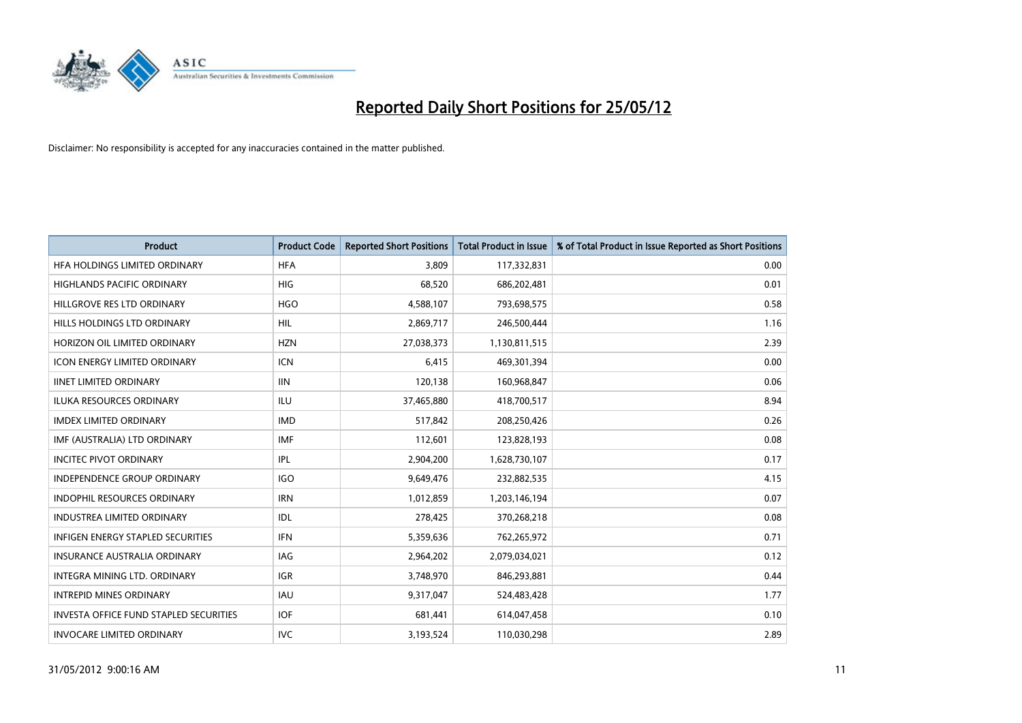

| <b>Product</b>                                | <b>Product Code</b> | <b>Reported Short Positions</b> | <b>Total Product in Issue</b> | % of Total Product in Issue Reported as Short Positions |
|-----------------------------------------------|---------------------|---------------------------------|-------------------------------|---------------------------------------------------------|
| HFA HOLDINGS LIMITED ORDINARY                 | <b>HFA</b>          | 3,809                           | 117,332,831                   | 0.00                                                    |
| <b>HIGHLANDS PACIFIC ORDINARY</b>             | <b>HIG</b>          | 68.520                          | 686,202,481                   | 0.01                                                    |
| HILLGROVE RES LTD ORDINARY                    | <b>HGO</b>          | 4,588,107                       | 793,698,575                   | 0.58                                                    |
| HILLS HOLDINGS LTD ORDINARY                   | <b>HIL</b>          | 2,869,717                       | 246,500,444                   | 1.16                                                    |
| HORIZON OIL LIMITED ORDINARY                  | <b>HZN</b>          | 27,038,373                      | 1,130,811,515                 | 2.39                                                    |
| <b>ICON ENERGY LIMITED ORDINARY</b>           | <b>ICN</b>          | 6,415                           | 469,301,394                   | 0.00                                                    |
| <b>IINET LIMITED ORDINARY</b>                 | <b>IIN</b>          | 120,138                         | 160,968,847                   | 0.06                                                    |
| ILUKA RESOURCES ORDINARY                      | ILU                 | 37,465,880                      | 418,700,517                   | 8.94                                                    |
| <b>IMDEX LIMITED ORDINARY</b>                 | <b>IMD</b>          | 517,842                         | 208,250,426                   | 0.26                                                    |
| IMF (AUSTRALIA) LTD ORDINARY                  | <b>IMF</b>          | 112,601                         | 123,828,193                   | 0.08                                                    |
| <b>INCITEC PIVOT ORDINARY</b>                 | <b>IPL</b>          | 2,904,200                       | 1,628,730,107                 | 0.17                                                    |
| <b>INDEPENDENCE GROUP ORDINARY</b>            | <b>IGO</b>          | 9,649,476                       | 232,882,535                   | 4.15                                                    |
| INDOPHIL RESOURCES ORDINARY                   | <b>IRN</b>          | 1,012,859                       | 1,203,146,194                 | 0.07                                                    |
| <b>INDUSTREA LIMITED ORDINARY</b>             | IDL                 | 278,425                         | 370,268,218                   | 0.08                                                    |
| <b>INFIGEN ENERGY STAPLED SECURITIES</b>      | <b>IFN</b>          | 5,359,636                       | 762,265,972                   | 0.71                                                    |
| <b>INSURANCE AUSTRALIA ORDINARY</b>           | IAG                 | 2,964,202                       | 2,079,034,021                 | 0.12                                                    |
| <b>INTEGRA MINING LTD, ORDINARY</b>           | <b>IGR</b>          | 3,748,970                       | 846,293,881                   | 0.44                                                    |
| <b>INTREPID MINES ORDINARY</b>                | <b>IAU</b>          | 9,317,047                       | 524,483,428                   | 1.77                                                    |
| <b>INVESTA OFFICE FUND STAPLED SECURITIES</b> | <b>IOF</b>          | 681,441                         | 614,047,458                   | 0.10                                                    |
| <b>INVOCARE LIMITED ORDINARY</b>              | <b>IVC</b>          | 3,193,524                       | 110,030,298                   | 2.89                                                    |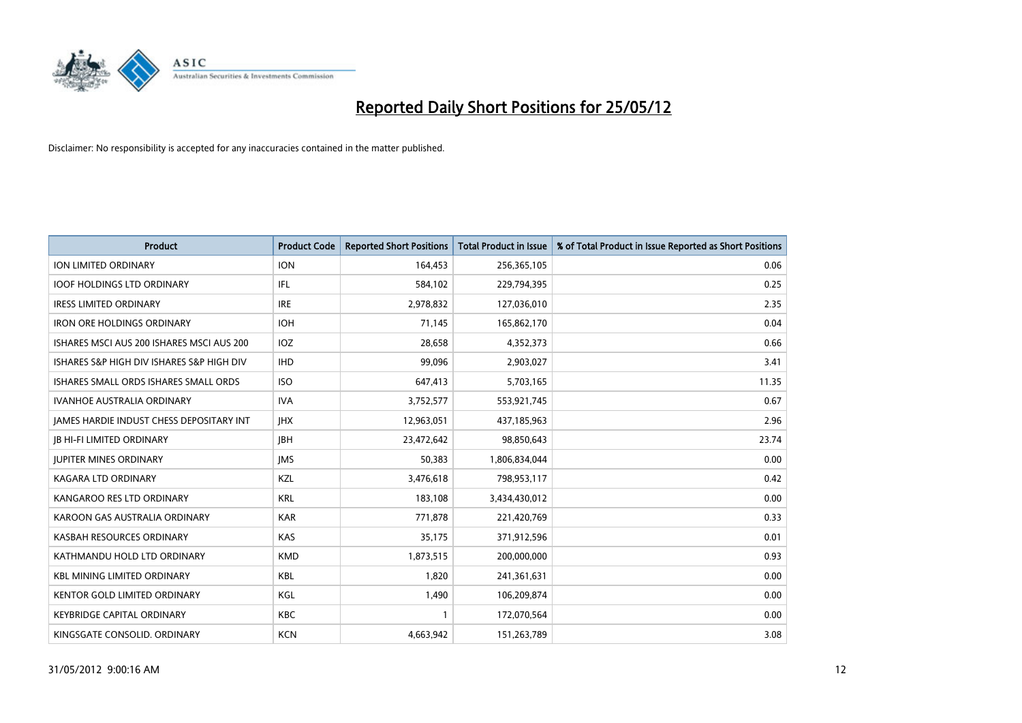

| <b>Product</b>                            | <b>Product Code</b> | <b>Reported Short Positions</b> | <b>Total Product in Issue</b> | % of Total Product in Issue Reported as Short Positions |
|-------------------------------------------|---------------------|---------------------------------|-------------------------------|---------------------------------------------------------|
| <b>ION LIMITED ORDINARY</b>               | <b>ION</b>          | 164,453                         | 256,365,105                   | 0.06                                                    |
| <b>IOOF HOLDINGS LTD ORDINARY</b>         | IFL                 | 584,102                         | 229,794,395                   | 0.25                                                    |
| <b>IRESS LIMITED ORDINARY</b>             | <b>IRE</b>          | 2,978,832                       | 127,036,010                   | 2.35                                                    |
| <b>IRON ORE HOLDINGS ORDINARY</b>         | <b>IOH</b>          | 71,145                          | 165,862,170                   | 0.04                                                    |
| ISHARES MSCI AUS 200 ISHARES MSCI AUS 200 | IOZ                 | 28,658                          | 4,352,373                     | 0.66                                                    |
| ISHARES S&P HIGH DIV ISHARES S&P HIGH DIV | <b>IHD</b>          | 99,096                          | 2,903,027                     | 3.41                                                    |
| ISHARES SMALL ORDS ISHARES SMALL ORDS     | <b>ISO</b>          | 647,413                         | 5,703,165                     | 11.35                                                   |
| <b>IVANHOE AUSTRALIA ORDINARY</b>         | <b>IVA</b>          | 3,752,577                       | 553,921,745                   | 0.67                                                    |
| JAMES HARDIE INDUST CHESS DEPOSITARY INT  | <b>IHX</b>          | 12,963,051                      | 437,185,963                   | 2.96                                                    |
| <b>JB HI-FI LIMITED ORDINARY</b>          | <b>JBH</b>          | 23,472,642                      | 98,850,643                    | 23.74                                                   |
| <b>JUPITER MINES ORDINARY</b>             | <b>IMS</b>          | 50,383                          | 1,806,834,044                 | 0.00                                                    |
| <b>KAGARA LTD ORDINARY</b>                | KZL                 | 3,476,618                       | 798,953,117                   | 0.42                                                    |
| KANGAROO RES LTD ORDINARY                 | <b>KRL</b>          | 183,108                         | 3,434,430,012                 | 0.00                                                    |
| KAROON GAS AUSTRALIA ORDINARY             | <b>KAR</b>          | 771,878                         | 221,420,769                   | 0.33                                                    |
| KASBAH RESOURCES ORDINARY                 | <b>KAS</b>          | 35,175                          | 371,912,596                   | 0.01                                                    |
| KATHMANDU HOLD LTD ORDINARY               | <b>KMD</b>          | 1,873,515                       | 200,000,000                   | 0.93                                                    |
| <b>KBL MINING LIMITED ORDINARY</b>        | <b>KBL</b>          | 1,820                           | 241,361,631                   | 0.00                                                    |
| <b>KENTOR GOLD LIMITED ORDINARY</b>       | KGL                 | 1,490                           | 106,209,874                   | 0.00                                                    |
| <b>KEYBRIDGE CAPITAL ORDINARY</b>         | <b>KBC</b>          | 1                               | 172,070,564                   | 0.00                                                    |
| KINGSGATE CONSOLID. ORDINARY              | <b>KCN</b>          | 4,663,942                       | 151,263,789                   | 3.08                                                    |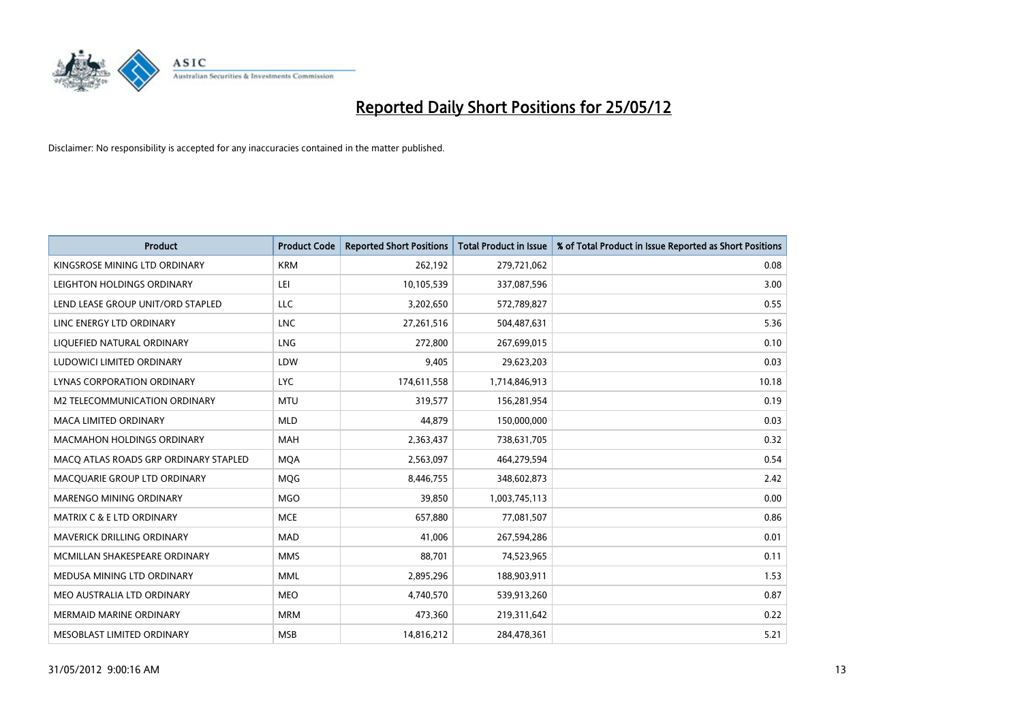

| <b>Product</b>                        | <b>Product Code</b> | <b>Reported Short Positions</b> | <b>Total Product in Issue</b> | % of Total Product in Issue Reported as Short Positions |
|---------------------------------------|---------------------|---------------------------------|-------------------------------|---------------------------------------------------------|
| KINGSROSE MINING LTD ORDINARY         | <b>KRM</b>          | 262,192                         | 279,721,062                   | 0.08                                                    |
| LEIGHTON HOLDINGS ORDINARY            | LEI                 | 10,105,539                      | 337,087,596                   | 3.00                                                    |
| LEND LEASE GROUP UNIT/ORD STAPLED     | LLC                 | 3,202,650                       | 572,789,827                   | 0.55                                                    |
| LINC ENERGY LTD ORDINARY              | <b>LNC</b>          | 27,261,516                      | 504,487,631                   | 5.36                                                    |
| LIQUEFIED NATURAL ORDINARY            | LNG                 | 272,800                         | 267,699,015                   | 0.10                                                    |
| LUDOWICI LIMITED ORDINARY             | LDW                 | 9,405                           | 29,623,203                    | 0.03                                                    |
| LYNAS CORPORATION ORDINARY            | <b>LYC</b>          | 174,611,558                     | 1,714,846,913                 | 10.18                                                   |
| M2 TELECOMMUNICATION ORDINARY         | <b>MTU</b>          | 319,577                         | 156,281,954                   | 0.19                                                    |
| <b>MACA LIMITED ORDINARY</b>          | <b>MLD</b>          | 44.879                          | 150,000,000                   | 0.03                                                    |
| <b>MACMAHON HOLDINGS ORDINARY</b>     | <b>MAH</b>          | 2,363,437                       | 738,631,705                   | 0.32                                                    |
| MACO ATLAS ROADS GRP ORDINARY STAPLED | <b>MQA</b>          | 2,563,097                       | 464,279,594                   | 0.54                                                    |
| MACQUARIE GROUP LTD ORDINARY          | MQG                 | 8,446,755                       | 348,602,873                   | 2.42                                                    |
| MARENGO MINING ORDINARY               | <b>MGO</b>          | 39,850                          | 1,003,745,113                 | 0.00                                                    |
| <b>MATRIX C &amp; E LTD ORDINARY</b>  | <b>MCE</b>          | 657,880                         | 77,081,507                    | 0.86                                                    |
| MAVERICK DRILLING ORDINARY            | <b>MAD</b>          | 41,006                          | 267,594,286                   | 0.01                                                    |
| MCMILLAN SHAKESPEARE ORDINARY         | <b>MMS</b>          | 88,701                          | 74,523,965                    | 0.11                                                    |
| MEDUSA MINING LTD ORDINARY            | <b>MML</b>          | 2,895,296                       | 188,903,911                   | 1.53                                                    |
| MEO AUSTRALIA LTD ORDINARY            | <b>MEO</b>          | 4,740,570                       | 539,913,260                   | 0.87                                                    |
| <b>MERMAID MARINE ORDINARY</b>        | <b>MRM</b>          | 473,360                         | 219,311,642                   | 0.22                                                    |
| MESOBLAST LIMITED ORDINARY            | <b>MSB</b>          | 14,816,212                      | 284,478,361                   | 5.21                                                    |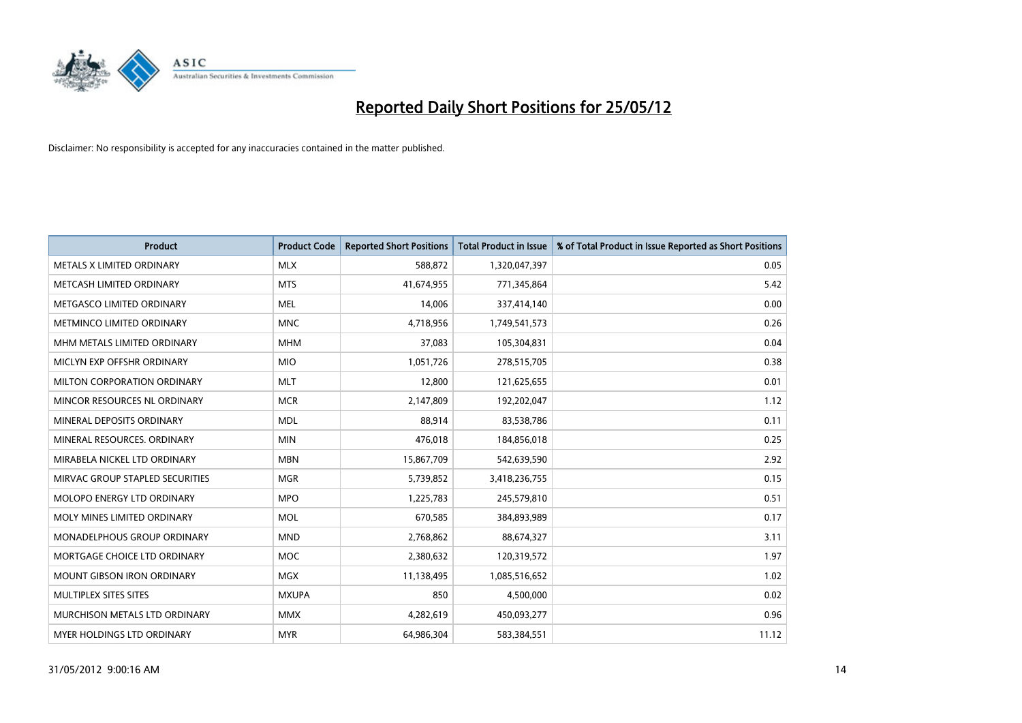

| <b>Product</b>                  | <b>Product Code</b> | <b>Reported Short Positions</b> | <b>Total Product in Issue</b> | % of Total Product in Issue Reported as Short Positions |
|---------------------------------|---------------------|---------------------------------|-------------------------------|---------------------------------------------------------|
| METALS X LIMITED ORDINARY       | <b>MLX</b>          | 588,872                         | 1,320,047,397                 | 0.05                                                    |
| METCASH LIMITED ORDINARY        | <b>MTS</b>          | 41,674,955                      | 771,345,864                   | 5.42                                                    |
| METGASCO LIMITED ORDINARY       | <b>MEL</b>          | 14,006                          | 337,414,140                   | 0.00                                                    |
| METMINCO LIMITED ORDINARY       | <b>MNC</b>          | 4,718,956                       | 1,749,541,573                 | 0.26                                                    |
| MHM METALS LIMITED ORDINARY     | <b>MHM</b>          | 37,083                          | 105,304,831                   | 0.04                                                    |
| MICLYN EXP OFFSHR ORDINARY      | <b>MIO</b>          | 1,051,726                       | 278,515,705                   | 0.38                                                    |
| MILTON CORPORATION ORDINARY     | <b>MLT</b>          | 12,800                          | 121,625,655                   | 0.01                                                    |
| MINCOR RESOURCES NL ORDINARY    | <b>MCR</b>          | 2,147,809                       | 192,202,047                   | 1.12                                                    |
| MINERAL DEPOSITS ORDINARY       | <b>MDL</b>          | 88,914                          | 83,538,786                    | 0.11                                                    |
| MINERAL RESOURCES, ORDINARY     | <b>MIN</b>          | 476,018                         | 184,856,018                   | 0.25                                                    |
| MIRABELA NICKEL LTD ORDINARY    | <b>MBN</b>          | 15,867,709                      | 542,639,590                   | 2.92                                                    |
| MIRVAC GROUP STAPLED SECURITIES | <b>MGR</b>          | 5,739,852                       | 3,418,236,755                 | 0.15                                                    |
| MOLOPO ENERGY LTD ORDINARY      | <b>MPO</b>          | 1,225,783                       | 245,579,810                   | 0.51                                                    |
| MOLY MINES LIMITED ORDINARY     | <b>MOL</b>          | 670,585                         | 384,893,989                   | 0.17                                                    |
| MONADELPHOUS GROUP ORDINARY     | <b>MND</b>          | 2,768,862                       | 88,674,327                    | 3.11                                                    |
| MORTGAGE CHOICE LTD ORDINARY    | <b>MOC</b>          | 2,380,632                       | 120,319,572                   | 1.97                                                    |
| MOUNT GIBSON IRON ORDINARY      | <b>MGX</b>          | 11,138,495                      | 1,085,516,652                 | 1.02                                                    |
| MULTIPLEX SITES SITES           | <b>MXUPA</b>        | 850                             | 4,500,000                     | 0.02                                                    |
| MURCHISON METALS LTD ORDINARY   | <b>MMX</b>          | 4,282,619                       | 450,093,277                   | 0.96                                                    |
| MYER HOLDINGS LTD ORDINARY      | <b>MYR</b>          | 64,986,304                      | 583,384,551                   | 11.12                                                   |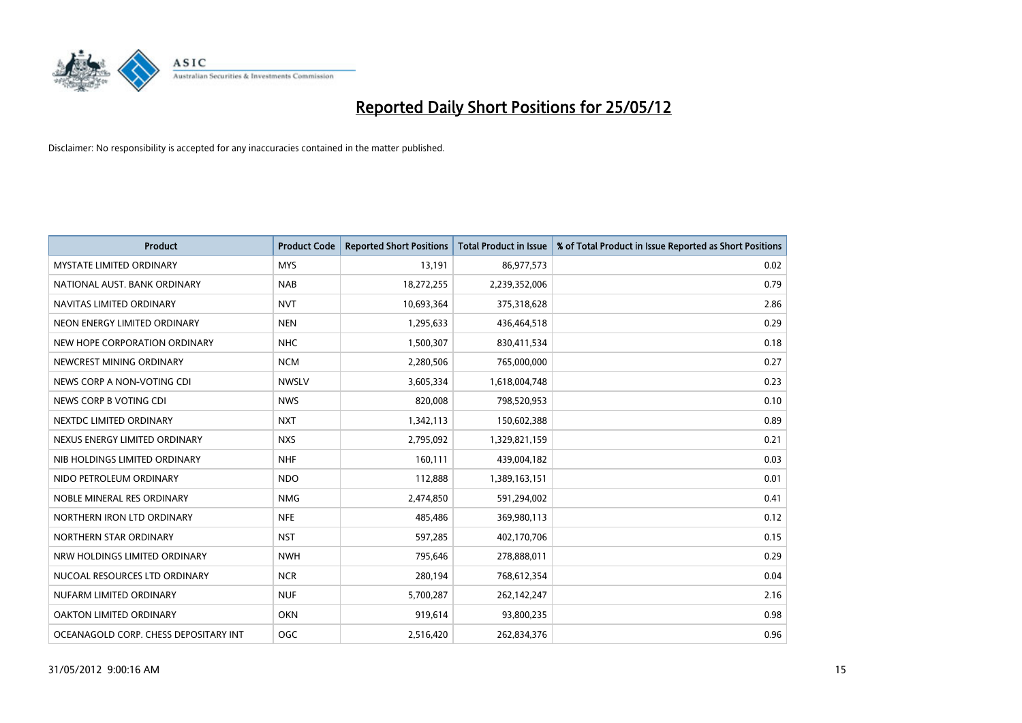

| <b>Product</b>                        | <b>Product Code</b> | <b>Reported Short Positions</b> | <b>Total Product in Issue</b> | % of Total Product in Issue Reported as Short Positions |
|---------------------------------------|---------------------|---------------------------------|-------------------------------|---------------------------------------------------------|
| <b>MYSTATE LIMITED ORDINARY</b>       | <b>MYS</b>          | 13,191                          | 86,977,573                    | 0.02                                                    |
| NATIONAL AUST. BANK ORDINARY          | <b>NAB</b>          | 18,272,255                      | 2,239,352,006                 | 0.79                                                    |
| NAVITAS LIMITED ORDINARY              | <b>NVT</b>          | 10,693,364                      | 375,318,628                   | 2.86                                                    |
| NEON ENERGY LIMITED ORDINARY          | <b>NEN</b>          | 1,295,633                       | 436,464,518                   | 0.29                                                    |
| NEW HOPE CORPORATION ORDINARY         | <b>NHC</b>          | 1,500,307                       | 830,411,534                   | 0.18                                                    |
| NEWCREST MINING ORDINARY              | <b>NCM</b>          | 2,280,506                       | 765,000,000                   | 0.27                                                    |
| NEWS CORP A NON-VOTING CDI            | <b>NWSLV</b>        | 3,605,334                       | 1,618,004,748                 | 0.23                                                    |
| NEWS CORP B VOTING CDI                | <b>NWS</b>          | 820,008                         | 798,520,953                   | 0.10                                                    |
| NEXTDC LIMITED ORDINARY               | <b>NXT</b>          | 1,342,113                       | 150,602,388                   | 0.89                                                    |
| NEXUS ENERGY LIMITED ORDINARY         | <b>NXS</b>          | 2,795,092                       | 1,329,821,159                 | 0.21                                                    |
| NIB HOLDINGS LIMITED ORDINARY         | <b>NHF</b>          | 160,111                         | 439,004,182                   | 0.03                                                    |
| NIDO PETROLEUM ORDINARY               | <b>NDO</b>          | 112,888                         | 1,389,163,151                 | 0.01                                                    |
| NOBLE MINERAL RES ORDINARY            | <b>NMG</b>          | 2,474,850                       | 591,294,002                   | 0.41                                                    |
| NORTHERN IRON LTD ORDINARY            | <b>NFE</b>          | 485,486                         | 369,980,113                   | 0.12                                                    |
| NORTHERN STAR ORDINARY                | <b>NST</b>          | 597,285                         | 402,170,706                   | 0.15                                                    |
| NRW HOLDINGS LIMITED ORDINARY         | <b>NWH</b>          | 795,646                         | 278,888,011                   | 0.29                                                    |
| NUCOAL RESOURCES LTD ORDINARY         | <b>NCR</b>          | 280,194                         | 768,612,354                   | 0.04                                                    |
| NUFARM LIMITED ORDINARY               | <b>NUF</b>          | 5,700,287                       | 262,142,247                   | 2.16                                                    |
| <b>OAKTON LIMITED ORDINARY</b>        | <b>OKN</b>          | 919,614                         | 93,800,235                    | 0.98                                                    |
| OCEANAGOLD CORP. CHESS DEPOSITARY INT | OGC                 | 2,516,420                       | 262,834,376                   | 0.96                                                    |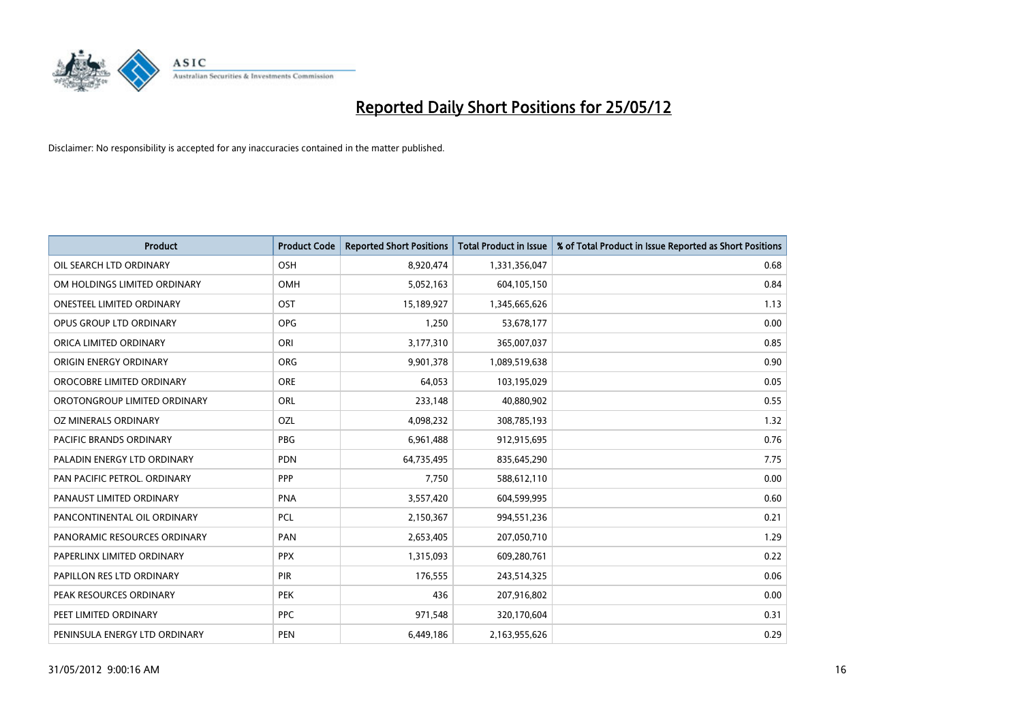

| <b>Product</b>                   | <b>Product Code</b> | <b>Reported Short Positions</b> | <b>Total Product in Issue</b> | % of Total Product in Issue Reported as Short Positions |
|----------------------------------|---------------------|---------------------------------|-------------------------------|---------------------------------------------------------|
| OIL SEARCH LTD ORDINARY          | OSH                 | 8,920,474                       | 1,331,356,047                 | 0.68                                                    |
| OM HOLDINGS LIMITED ORDINARY     | OMH                 | 5,052,163                       | 604,105,150                   | 0.84                                                    |
| <b>ONESTEEL LIMITED ORDINARY</b> | OST                 | 15,189,927                      | 1,345,665,626                 | 1.13                                                    |
| OPUS GROUP LTD ORDINARY          | <b>OPG</b>          | 1,250                           | 53,678,177                    | 0.00                                                    |
| ORICA LIMITED ORDINARY           | ORI                 | 3,177,310                       | 365,007,037                   | 0.85                                                    |
| ORIGIN ENERGY ORDINARY           | <b>ORG</b>          | 9,901,378                       | 1,089,519,638                 | 0.90                                                    |
| OROCOBRE LIMITED ORDINARY        | <b>ORE</b>          | 64,053                          | 103,195,029                   | 0.05                                                    |
| OROTONGROUP LIMITED ORDINARY     | ORL                 | 233,148                         | 40,880,902                    | 0.55                                                    |
| <b>OZ MINERALS ORDINARY</b>      | OZL                 | 4,098,232                       | 308,785,193                   | 1.32                                                    |
| <b>PACIFIC BRANDS ORDINARY</b>   | <b>PBG</b>          | 6,961,488                       | 912,915,695                   | 0.76                                                    |
| PALADIN ENERGY LTD ORDINARY      | PDN                 | 64,735,495                      | 835,645,290                   | 7.75                                                    |
| PAN PACIFIC PETROL. ORDINARY     | <b>PPP</b>          | 7,750                           | 588,612,110                   | 0.00                                                    |
| PANAUST LIMITED ORDINARY         | <b>PNA</b>          | 3,557,420                       | 604,599,995                   | 0.60                                                    |
| PANCONTINENTAL OIL ORDINARY      | PCL                 | 2,150,367                       | 994,551,236                   | 0.21                                                    |
| PANORAMIC RESOURCES ORDINARY     | PAN                 | 2,653,405                       | 207,050,710                   | 1.29                                                    |
| PAPERLINX LIMITED ORDINARY       | <b>PPX</b>          | 1,315,093                       | 609,280,761                   | 0.22                                                    |
| PAPILLON RES LTD ORDINARY        | PIR                 | 176,555                         | 243,514,325                   | 0.06                                                    |
| PEAK RESOURCES ORDINARY          | <b>PEK</b>          | 436                             | 207,916,802                   | 0.00                                                    |
| PEET LIMITED ORDINARY            | <b>PPC</b>          | 971,548                         | 320,170,604                   | 0.31                                                    |
| PENINSULA ENERGY LTD ORDINARY    | <b>PEN</b>          | 6,449,186                       | 2,163,955,626                 | 0.29                                                    |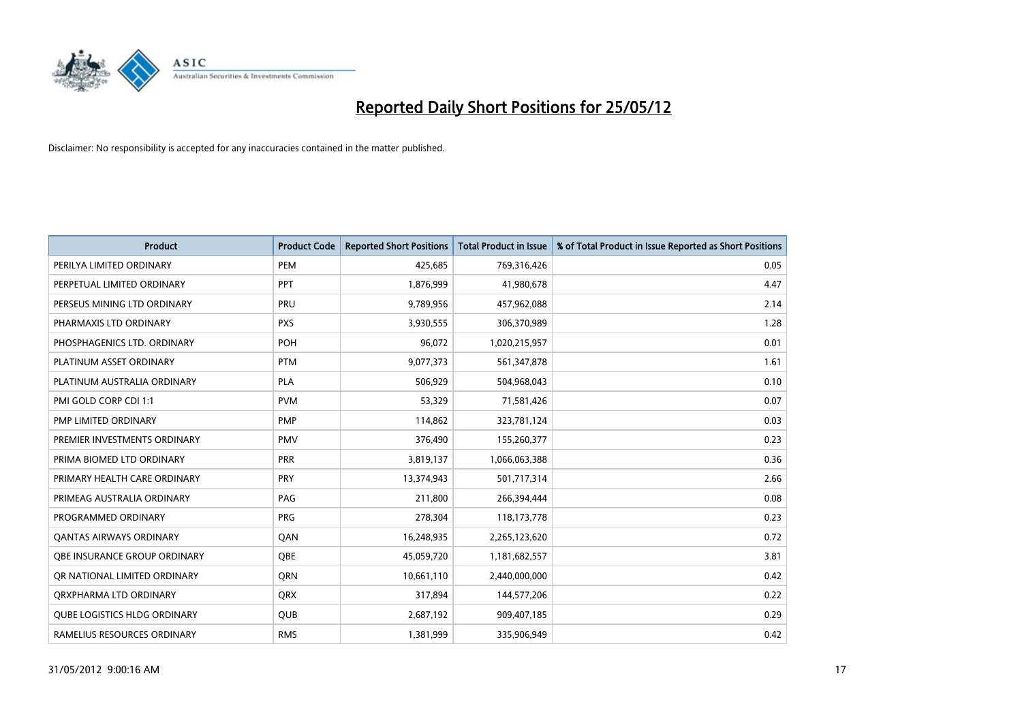

| Product                             | <b>Product Code</b> | <b>Reported Short Positions</b> | <b>Total Product in Issue</b> | % of Total Product in Issue Reported as Short Positions |
|-------------------------------------|---------------------|---------------------------------|-------------------------------|---------------------------------------------------------|
| PERILYA LIMITED ORDINARY            | PEM                 | 425,685                         | 769,316,426                   | 0.05                                                    |
| PERPETUAL LIMITED ORDINARY          | PPT                 | 1,876,999                       | 41,980,678                    | 4.47                                                    |
| PERSEUS MINING LTD ORDINARY         | <b>PRU</b>          | 9,789,956                       | 457,962,088                   | 2.14                                                    |
| PHARMAXIS LTD ORDINARY              | <b>PXS</b>          | 3,930,555                       | 306,370,989                   | 1.28                                                    |
| PHOSPHAGENICS LTD. ORDINARY         | <b>POH</b>          | 96,072                          | 1,020,215,957                 | 0.01                                                    |
| PLATINUM ASSET ORDINARY             | <b>PTM</b>          | 9,077,373                       | 561,347,878                   | 1.61                                                    |
| PLATINUM AUSTRALIA ORDINARY         | <b>PLA</b>          | 506,929                         | 504,968,043                   | 0.10                                                    |
| PMI GOLD CORP CDI 1:1               | <b>PVM</b>          | 53,329                          | 71,581,426                    | 0.07                                                    |
| PMP LIMITED ORDINARY                | <b>PMP</b>          | 114,862                         | 323,781,124                   | 0.03                                                    |
| PREMIER INVESTMENTS ORDINARY        | <b>PMV</b>          | 376,490                         | 155,260,377                   | 0.23                                                    |
| PRIMA BIOMED LTD ORDINARY           | <b>PRR</b>          | 3,819,137                       | 1,066,063,388                 | 0.36                                                    |
| PRIMARY HEALTH CARE ORDINARY        | <b>PRY</b>          | 13,374,943                      | 501,717,314                   | 2.66                                                    |
| PRIMEAG AUSTRALIA ORDINARY          | PAG                 | 211,800                         | 266,394,444                   | 0.08                                                    |
| PROGRAMMED ORDINARY                 | <b>PRG</b>          | 278,304                         | 118,173,778                   | 0.23                                                    |
| <b>QANTAS AIRWAYS ORDINARY</b>      | QAN                 | 16,248,935                      | 2,265,123,620                 | 0.72                                                    |
| OBE INSURANCE GROUP ORDINARY        | OBE                 | 45,059,720                      | 1,181,682,557                 | 3.81                                                    |
| OR NATIONAL LIMITED ORDINARY        | <b>ORN</b>          | 10,661,110                      | 2,440,000,000                 | 0.42                                                    |
| ORXPHARMA LTD ORDINARY              | <b>QRX</b>          | 317,894                         | 144,577,206                   | 0.22                                                    |
| <b>QUBE LOGISTICS HLDG ORDINARY</b> | QUB                 | 2,687,192                       | 909,407,185                   | 0.29                                                    |
| RAMELIUS RESOURCES ORDINARY         | <b>RMS</b>          | 1,381,999                       | 335,906,949                   | 0.42                                                    |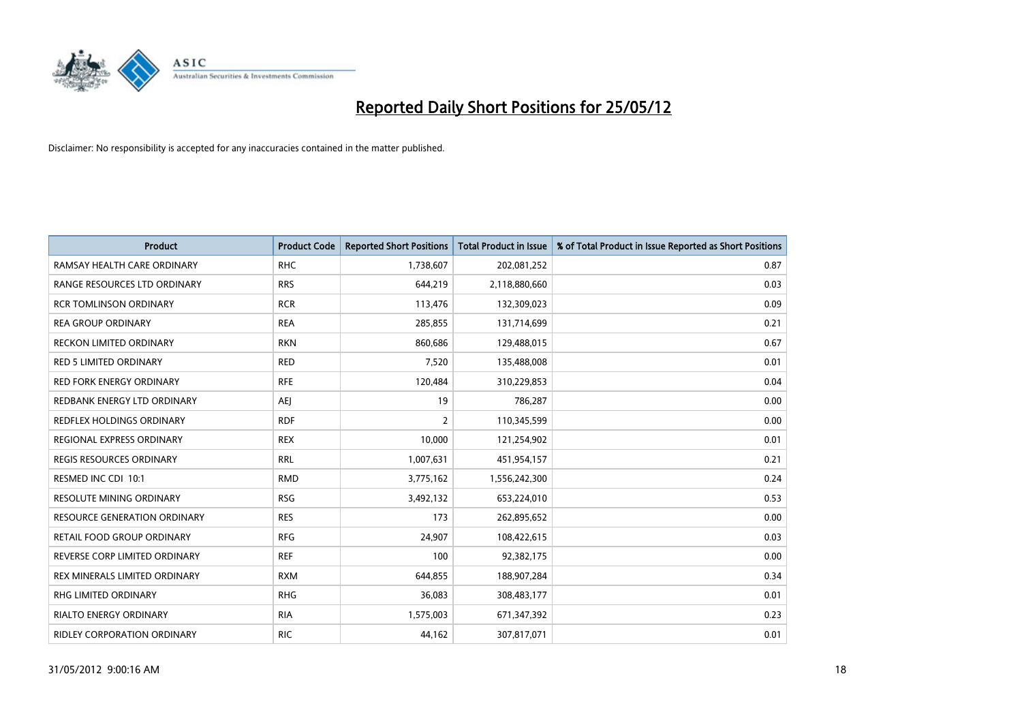

| <b>Product</b>                      | <b>Product Code</b> | <b>Reported Short Positions</b> | <b>Total Product in Issue</b> | % of Total Product in Issue Reported as Short Positions |
|-------------------------------------|---------------------|---------------------------------|-------------------------------|---------------------------------------------------------|
| RAMSAY HEALTH CARE ORDINARY         | <b>RHC</b>          | 1,738,607                       | 202,081,252                   | 0.87                                                    |
| RANGE RESOURCES LTD ORDINARY        | <b>RRS</b>          | 644,219                         | 2,118,880,660                 | 0.03                                                    |
| <b>RCR TOMLINSON ORDINARY</b>       | <b>RCR</b>          | 113,476                         | 132,309,023                   | 0.09                                                    |
| <b>REA GROUP ORDINARY</b>           | <b>REA</b>          | 285,855                         | 131,714,699                   | 0.21                                                    |
| <b>RECKON LIMITED ORDINARY</b>      | <b>RKN</b>          | 860,686                         | 129,488,015                   | 0.67                                                    |
| <b>RED 5 LIMITED ORDINARY</b>       | <b>RED</b>          | 7,520                           | 135,488,008                   | 0.01                                                    |
| <b>RED FORK ENERGY ORDINARY</b>     | <b>RFE</b>          | 120,484                         | 310,229,853                   | 0.04                                                    |
| REDBANK ENERGY LTD ORDINARY         | <b>AEJ</b>          | 19                              | 786,287                       | 0.00                                                    |
| <b>REDFLEX HOLDINGS ORDINARY</b>    | <b>RDF</b>          | $\overline{2}$                  | 110,345,599                   | 0.00                                                    |
| REGIONAL EXPRESS ORDINARY           | <b>REX</b>          | 10,000                          | 121,254,902                   | 0.01                                                    |
| <b>REGIS RESOURCES ORDINARY</b>     | <b>RRL</b>          | 1,007,631                       | 451,954,157                   | 0.21                                                    |
| RESMED INC CDI 10:1                 | <b>RMD</b>          | 3,775,162                       | 1,556,242,300                 | 0.24                                                    |
| RESOLUTE MINING ORDINARY            | <b>RSG</b>          | 3,492,132                       | 653,224,010                   | 0.53                                                    |
| <b>RESOURCE GENERATION ORDINARY</b> | <b>RES</b>          | 173                             | 262,895,652                   | 0.00                                                    |
| <b>RETAIL FOOD GROUP ORDINARY</b>   | <b>RFG</b>          | 24,907                          | 108,422,615                   | 0.03                                                    |
| REVERSE CORP LIMITED ORDINARY       | <b>REF</b>          | 100                             | 92,382,175                    | 0.00                                                    |
| REX MINERALS LIMITED ORDINARY       | <b>RXM</b>          | 644,855                         | 188,907,284                   | 0.34                                                    |
| RHG LIMITED ORDINARY                | <b>RHG</b>          | 36,083                          | 308,483,177                   | 0.01                                                    |
| <b>RIALTO ENERGY ORDINARY</b>       | <b>RIA</b>          | 1,575,003                       | 671,347,392                   | 0.23                                                    |
| <b>RIDLEY CORPORATION ORDINARY</b>  | <b>RIC</b>          | 44,162                          | 307,817,071                   | 0.01                                                    |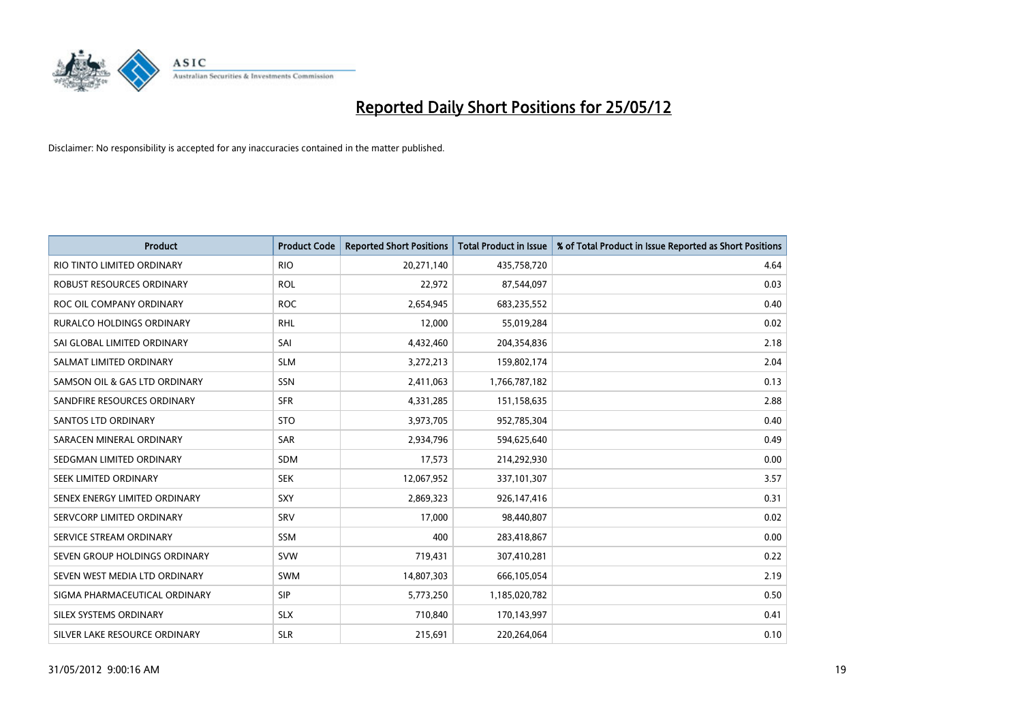

| <b>Product</b>                   | <b>Product Code</b> | <b>Reported Short Positions</b> | <b>Total Product in Issue</b> | % of Total Product in Issue Reported as Short Positions |
|----------------------------------|---------------------|---------------------------------|-------------------------------|---------------------------------------------------------|
| RIO TINTO LIMITED ORDINARY       | <b>RIO</b>          | 20,271,140                      | 435,758,720                   | 4.64                                                    |
| ROBUST RESOURCES ORDINARY        | <b>ROL</b>          | 22,972                          | 87,544,097                    | 0.03                                                    |
| ROC OIL COMPANY ORDINARY         | <b>ROC</b>          | 2,654,945                       | 683,235,552                   | 0.40                                                    |
| <b>RURALCO HOLDINGS ORDINARY</b> | <b>RHL</b>          | 12,000                          | 55,019,284                    | 0.02                                                    |
| SAI GLOBAL LIMITED ORDINARY      | SAI                 | 4,432,460                       | 204,354,836                   | 2.18                                                    |
| SALMAT LIMITED ORDINARY          | <b>SLM</b>          | 3,272,213                       | 159,802,174                   | 2.04                                                    |
| SAMSON OIL & GAS LTD ORDINARY    | <b>SSN</b>          | 2,411,063                       | 1,766,787,182                 | 0.13                                                    |
| SANDFIRE RESOURCES ORDINARY      | <b>SFR</b>          | 4,331,285                       | 151,158,635                   | 2.88                                                    |
| SANTOS LTD ORDINARY              | <b>STO</b>          | 3,973,705                       | 952,785,304                   | 0.40                                                    |
| SARACEN MINERAL ORDINARY         | SAR                 | 2,934,796                       | 594,625,640                   | 0.49                                                    |
| SEDGMAN LIMITED ORDINARY         | SDM                 | 17,573                          | 214,292,930                   | 0.00                                                    |
| SEEK LIMITED ORDINARY            | <b>SEK</b>          | 12,067,952                      | 337,101,307                   | 3.57                                                    |
| SENEX ENERGY LIMITED ORDINARY    | <b>SXY</b>          | 2,869,323                       | 926,147,416                   | 0.31                                                    |
| SERVCORP LIMITED ORDINARY        | SRV                 | 17,000                          | 98,440,807                    | 0.02                                                    |
| SERVICE STREAM ORDINARY          | SSM                 | 400                             | 283,418,867                   | 0.00                                                    |
| SEVEN GROUP HOLDINGS ORDINARY    | <b>SVW</b>          | 719,431                         | 307,410,281                   | 0.22                                                    |
| SEVEN WEST MEDIA LTD ORDINARY    | SWM                 | 14,807,303                      | 666,105,054                   | 2.19                                                    |
| SIGMA PHARMACEUTICAL ORDINARY    | <b>SIP</b>          | 5,773,250                       | 1,185,020,782                 | 0.50                                                    |
| SILEX SYSTEMS ORDINARY           | <b>SLX</b>          | 710,840                         | 170,143,997                   | 0.41                                                    |
| SILVER LAKE RESOURCE ORDINARY    | <b>SLR</b>          | 215,691                         | 220,264,064                   | 0.10                                                    |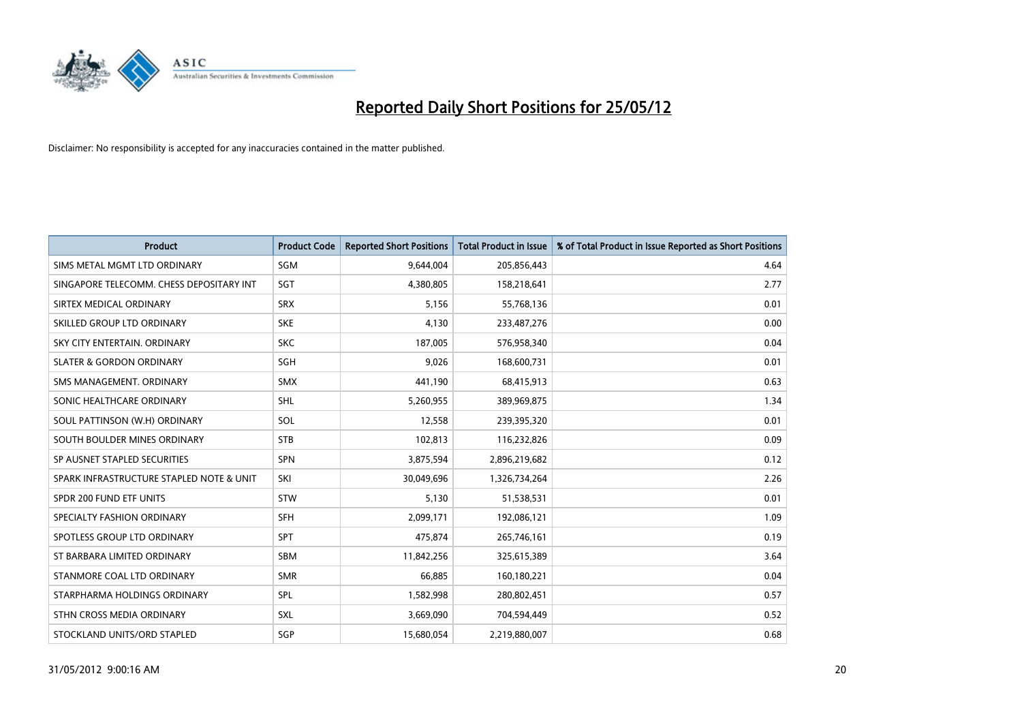

| <b>Product</b>                           | <b>Product Code</b> | <b>Reported Short Positions</b> | <b>Total Product in Issue</b> | % of Total Product in Issue Reported as Short Positions |
|------------------------------------------|---------------------|---------------------------------|-------------------------------|---------------------------------------------------------|
| SIMS METAL MGMT LTD ORDINARY             | SGM                 | 9,644,004                       | 205,856,443                   | 4.64                                                    |
| SINGAPORE TELECOMM. CHESS DEPOSITARY INT | <b>SGT</b>          | 4,380,805                       | 158,218,641                   | 2.77                                                    |
| SIRTEX MEDICAL ORDINARY                  | <b>SRX</b>          | 5,156                           | 55,768,136                    | 0.01                                                    |
| SKILLED GROUP LTD ORDINARY               | <b>SKE</b>          | 4,130                           | 233,487,276                   | 0.00                                                    |
| SKY CITY ENTERTAIN, ORDINARY             | <b>SKC</b>          | 187,005                         | 576,958,340                   | 0.04                                                    |
| <b>SLATER &amp; GORDON ORDINARY</b>      | SGH                 | 9,026                           | 168,600,731                   | 0.01                                                    |
| SMS MANAGEMENT, ORDINARY                 | <b>SMX</b>          | 441,190                         | 68,415,913                    | 0.63                                                    |
| SONIC HEALTHCARE ORDINARY                | SHL                 | 5,260,955                       | 389,969,875                   | 1.34                                                    |
| SOUL PATTINSON (W.H) ORDINARY            | SOL                 | 12,558                          | 239,395,320                   | 0.01                                                    |
| SOUTH BOULDER MINES ORDINARY             | <b>STB</b>          | 102,813                         | 116,232,826                   | 0.09                                                    |
| SP AUSNET STAPLED SECURITIES             | SPN                 | 3,875,594                       | 2,896,219,682                 | 0.12                                                    |
| SPARK INFRASTRUCTURE STAPLED NOTE & UNIT | SKI                 | 30,049,696                      | 1,326,734,264                 | 2.26                                                    |
| SPDR 200 FUND ETF UNITS                  | <b>STW</b>          | 5,130                           | 51,538,531                    | 0.01                                                    |
| SPECIALTY FASHION ORDINARY               | SFH                 | 2,099,171                       | 192,086,121                   | 1.09                                                    |
| SPOTLESS GROUP LTD ORDINARY              | <b>SPT</b>          | 475,874                         | 265,746,161                   | 0.19                                                    |
| ST BARBARA LIMITED ORDINARY              | SBM                 | 11,842,256                      | 325,615,389                   | 3.64                                                    |
| STANMORE COAL LTD ORDINARY               | <b>SMR</b>          | 66,885                          | 160,180,221                   | 0.04                                                    |
| STARPHARMA HOLDINGS ORDINARY             | <b>SPL</b>          | 1,582,998                       | 280,802,451                   | 0.57                                                    |
| STHN CROSS MEDIA ORDINARY                | SXL                 | 3,669,090                       | 704,594,449                   | 0.52                                                    |
| STOCKLAND UNITS/ORD STAPLED              | SGP                 | 15,680,054                      | 2,219,880,007                 | 0.68                                                    |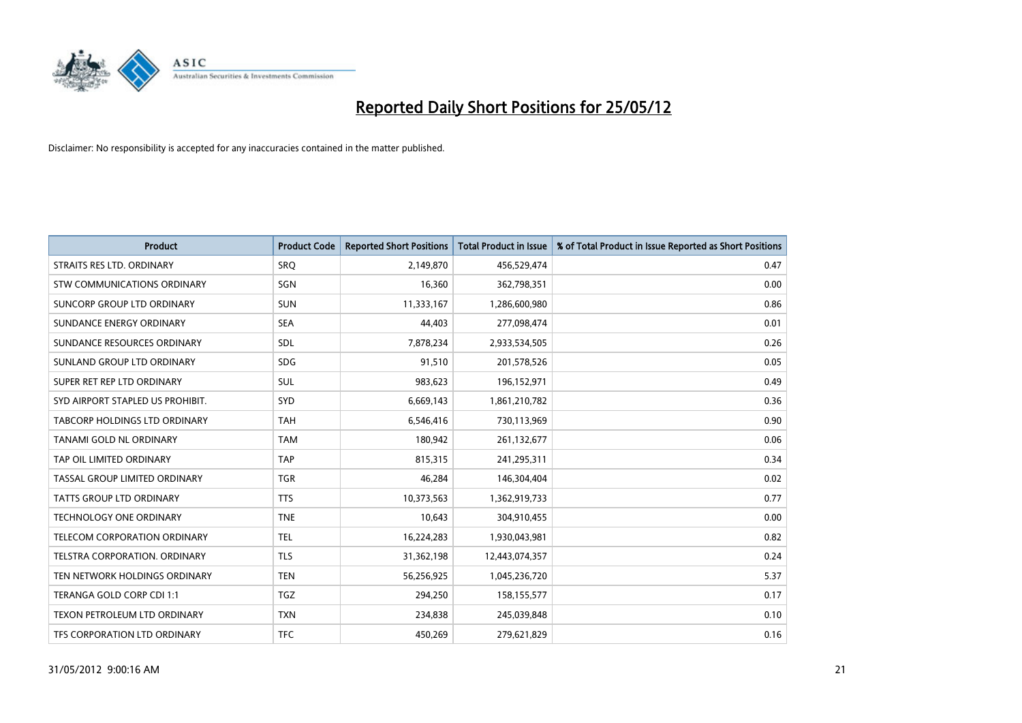

| <b>Product</b>                   | <b>Product Code</b> | <b>Reported Short Positions</b> | <b>Total Product in Issue</b> | % of Total Product in Issue Reported as Short Positions |
|----------------------------------|---------------------|---------------------------------|-------------------------------|---------------------------------------------------------|
| STRAITS RES LTD. ORDINARY        | <b>SRO</b>          | 2,149,870                       | 456,529,474                   | 0.47                                                    |
| STW COMMUNICATIONS ORDINARY      | SGN                 | 16,360                          | 362,798,351                   | 0.00                                                    |
| SUNCORP GROUP LTD ORDINARY       | <b>SUN</b>          | 11,333,167                      | 1,286,600,980                 | 0.86                                                    |
| SUNDANCE ENERGY ORDINARY         | <b>SEA</b>          | 44,403                          | 277,098,474                   | 0.01                                                    |
| SUNDANCE RESOURCES ORDINARY      | SDL                 | 7,878,234                       | 2,933,534,505                 | 0.26                                                    |
| SUNLAND GROUP LTD ORDINARY       | <b>SDG</b>          | 91,510                          | 201,578,526                   | 0.05                                                    |
| SUPER RET REP LTD ORDINARY       | SUL                 | 983,623                         | 196,152,971                   | 0.49                                                    |
| SYD AIRPORT STAPLED US PROHIBIT. | SYD                 | 6,669,143                       | 1,861,210,782                 | 0.36                                                    |
| TABCORP HOLDINGS LTD ORDINARY    | <b>TAH</b>          | 6,546,416                       | 730,113,969                   | 0.90                                                    |
| TANAMI GOLD NL ORDINARY          | <b>TAM</b>          | 180,942                         | 261,132,677                   | 0.06                                                    |
| TAP OIL LIMITED ORDINARY         | <b>TAP</b>          | 815,315                         | 241,295,311                   | 0.34                                                    |
| TASSAL GROUP LIMITED ORDINARY    | <b>TGR</b>          | 46,284                          | 146,304,404                   | 0.02                                                    |
| TATTS GROUP LTD ORDINARY         | <b>TTS</b>          | 10,373,563                      | 1,362,919,733                 | 0.77                                                    |
| <b>TECHNOLOGY ONE ORDINARY</b>   | <b>TNE</b>          | 10,643                          | 304,910,455                   | 0.00                                                    |
| TELECOM CORPORATION ORDINARY     | <b>TEL</b>          | 16,224,283                      | 1,930,043,981                 | 0.82                                                    |
| TELSTRA CORPORATION. ORDINARY    | <b>TLS</b>          | 31,362,198                      | 12,443,074,357                | 0.24                                                    |
| TEN NETWORK HOLDINGS ORDINARY    | <b>TEN</b>          | 56,256,925                      | 1,045,236,720                 | 5.37                                                    |
| TERANGA GOLD CORP CDI 1:1        | <b>TGZ</b>          | 294,250                         | 158,155,577                   | 0.17                                                    |
| TEXON PETROLEUM LTD ORDINARY     | <b>TXN</b>          | 234,838                         | 245,039,848                   | 0.10                                                    |
| TFS CORPORATION LTD ORDINARY     | <b>TFC</b>          | 450,269                         | 279,621,829                   | 0.16                                                    |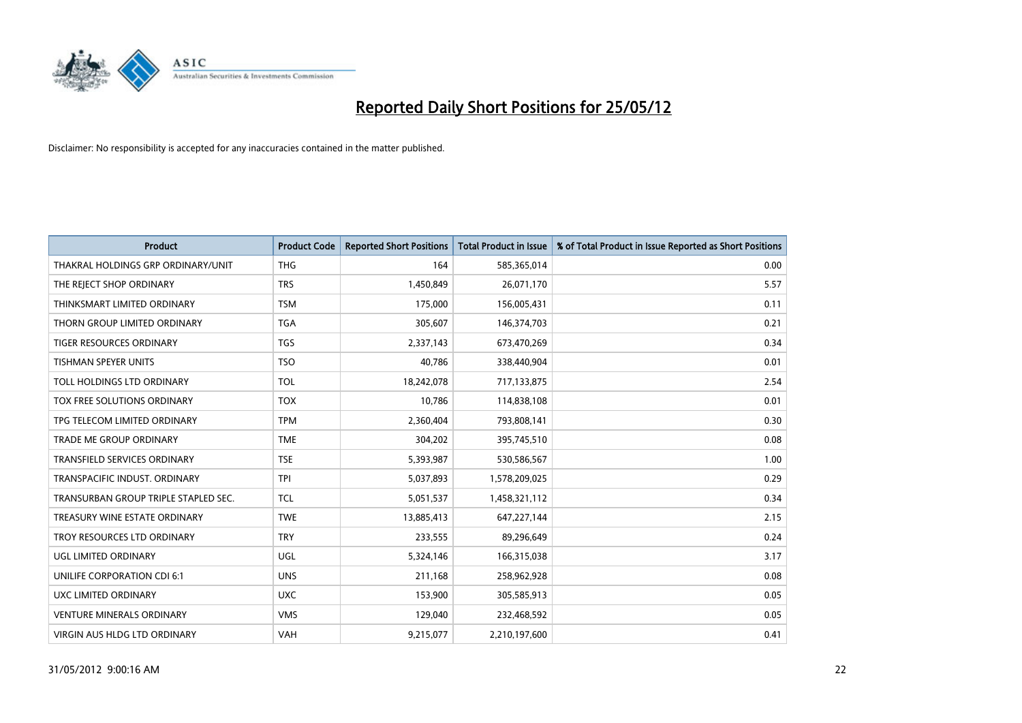

| <b>Product</b>                       | <b>Product Code</b> | <b>Reported Short Positions</b> | <b>Total Product in Issue</b> | % of Total Product in Issue Reported as Short Positions |
|--------------------------------------|---------------------|---------------------------------|-------------------------------|---------------------------------------------------------|
| THAKRAL HOLDINGS GRP ORDINARY/UNIT   | <b>THG</b>          | 164                             | 585,365,014                   | 0.00                                                    |
| THE REJECT SHOP ORDINARY             | <b>TRS</b>          | 1,450,849                       | 26,071,170                    | 5.57                                                    |
| THINKSMART LIMITED ORDINARY          | <b>TSM</b>          | 175,000                         | 156,005,431                   | 0.11                                                    |
| THORN GROUP LIMITED ORDINARY         | <b>TGA</b>          | 305,607                         | 146,374,703                   | 0.21                                                    |
| <b>TIGER RESOURCES ORDINARY</b>      | <b>TGS</b>          | 2,337,143                       | 673,470,269                   | 0.34                                                    |
| TISHMAN SPEYER UNITS                 | <b>TSO</b>          | 40,786                          | 338,440,904                   | 0.01                                                    |
| TOLL HOLDINGS LTD ORDINARY           | <b>TOL</b>          | 18,242,078                      | 717,133,875                   | 2.54                                                    |
| TOX FREE SOLUTIONS ORDINARY          | <b>TOX</b>          | 10,786                          | 114,838,108                   | 0.01                                                    |
| TPG TELECOM LIMITED ORDINARY         | <b>TPM</b>          | 2,360,404                       | 793,808,141                   | 0.30                                                    |
| <b>TRADE ME GROUP ORDINARY</b>       | <b>TME</b>          | 304,202                         | 395,745,510                   | 0.08                                                    |
| TRANSFIELD SERVICES ORDINARY         | <b>TSE</b>          | 5,393,987                       | 530,586,567                   | 1.00                                                    |
| TRANSPACIFIC INDUST, ORDINARY        | <b>TPI</b>          | 5,037,893                       | 1,578,209,025                 | 0.29                                                    |
| TRANSURBAN GROUP TRIPLE STAPLED SEC. | <b>TCL</b>          | 5,051,537                       | 1,458,321,112                 | 0.34                                                    |
| TREASURY WINE ESTATE ORDINARY        | <b>TWE</b>          | 13,885,413                      | 647,227,144                   | 2.15                                                    |
| TROY RESOURCES LTD ORDINARY          | <b>TRY</b>          | 233,555                         | 89,296,649                    | 0.24                                                    |
| <b>UGL LIMITED ORDINARY</b>          | UGL                 | 5,324,146                       | 166,315,038                   | 3.17                                                    |
| UNILIFE CORPORATION CDI 6:1          | <b>UNS</b>          | 211,168                         | 258,962,928                   | 0.08                                                    |
| UXC LIMITED ORDINARY                 | <b>UXC</b>          | 153,900                         | 305,585,913                   | 0.05                                                    |
| <b>VENTURE MINERALS ORDINARY</b>     | <b>VMS</b>          | 129,040                         | 232,468,592                   | 0.05                                                    |
| VIRGIN AUS HLDG LTD ORDINARY         | <b>VAH</b>          | 9,215,077                       | 2,210,197,600                 | 0.41                                                    |